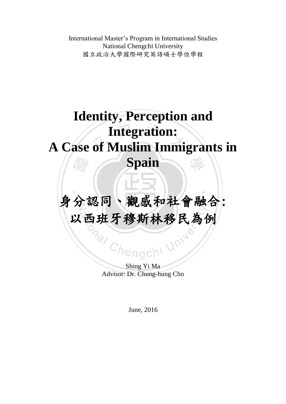International Master's Program in International Studies National Chengchi University 國立政治大學國際研究英語碩士學位學程

# **Identity, Perception and Integration: A Case of Muslim Immigrants in Spain**

# 身分認同、觀感和社會融合: 以西班牙穆斯林移民為例

S<sub>hengch</sub>i Advisor: Dr. Chung-hung Cho

Unive

June, 2016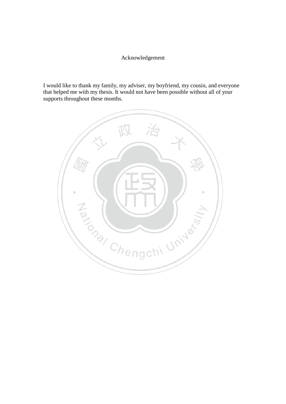#### Acknowledgement

I would like to thank my family, my adviser, my boyfriend, my cousin, and everyone that helped me with my thesis. It would not have been possible without all of your supports throughout these months.

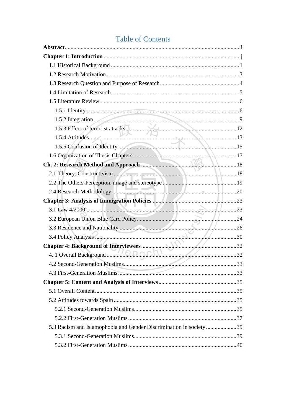### **Table of Contents**

| 5.3 Racism and Islamophobia and Gender Discrimination in society39 |  |
|--------------------------------------------------------------------|--|
|                                                                    |  |
|                                                                    |  |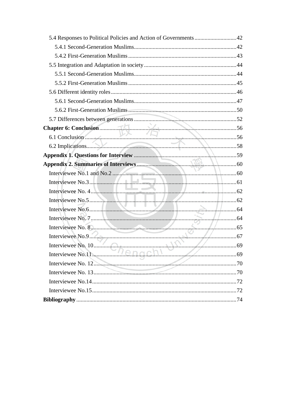| 6.1 Conclusion        |             |
|-----------------------|-------------|
|                       |             |
|                       |             |
|                       |             |
|                       |             |
| Interviewee No.3.     |             |
|                       |             |
|                       |             |
|                       |             |
|                       | $\ldots$ 64 |
|                       |             |
|                       |             |
|                       |             |
| Interviewee No.11. 69 |             |
|                       |             |
|                       |             |
|                       |             |
|                       |             |
|                       |             |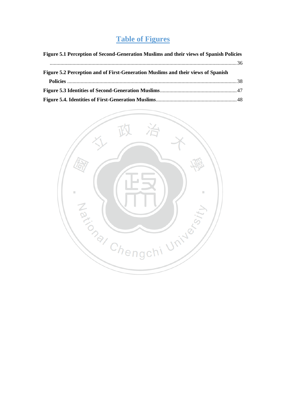## **Table of Figures**

| Figure 5.1 Perception of Second-Generation Muslims and their views of Spanish Policies |  |
|----------------------------------------------------------------------------------------|--|
|                                                                                        |  |
| Figure 5.2 Perception and of First-Generation Muslims and their views of Spanish       |  |
|                                                                                        |  |
|                                                                                        |  |
|                                                                                        |  |

<span id="page-4-0"></span>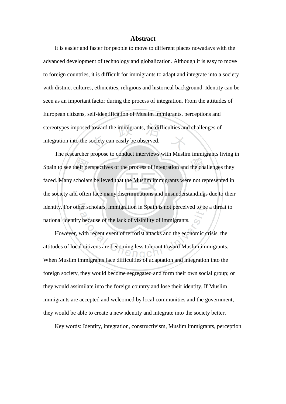#### **Abstract**

It is easier and faster for people to move to different places nowadays with the advanced development of technology and globalization. Although it is easy to move to foreign countries, it is difficult for immigrants to adapt and integrate into a society with distinct cultures, ethnicities, religious and historical background. Identity can be seen as an important factor during the process of integration. From the attitudes of European citizens, self-identification of Muslim immigrants, perceptions and stereotypes imposed toward the immigrants, the difficulties and challenges of integration into the society can easily be observed.

The researcher propose to conduct interviews with Muslim immigrants living in Spain to see their perspectives of the process of integration and the challenges they faced. Many scholars believed that the Muslim immigrants were not represented in the society and often face many discriminations and misunderstandings due to their identity. For other scholars, immigration in Spain is not perceived to be a threat to national identity because of the lack of visibility of immigrants.

However, with recent event of terrorist attacks and the economic crisis, the attitudes of local citizens are becoming less tolerant toward Muslim immigrants. When Muslim immigrants face difficulties of adaptation and integration into the foreign society, they would become segregated and form their own social group; or they would assimilate into the foreign country and lose their identity. If Muslim immigrants are accepted and welcomed by local communities and the government, they would be able to create a new identity and integrate into the society better.

<span id="page-5-0"></span>Key words: Identity, integration, constructivism, Muslim immigrants, perception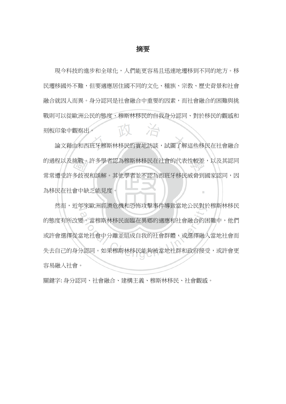#### 摘要

現今科技的進步和全球化,人們能更容易且迅速地遷移到不同的地方。移 民遷移國外不難,但要適應居住國不同的文化、種族、宗教、歷史背景和社會 融合就因人而異。身分認同是社會融合中重要的因素,而社會融合的困難與挑 戰則可以從歐洲公民的態度、穆斯林移民的自我身分認同、對於移民的觀感和 治 刻板印象中觀察出。

論文藉由和西班牙穆斯林移民的實地訪談,試圖了解這些移民在社會融合 的過程以及挑戰。許多學者認為穆斯林移民在社會的代表性較差,以及其認同 常常遭受許多歧視和誤解。其他學者並不認為西班牙移民威脅到國家認同,因 為移民在社會中缺乏能見度。

然而,近年來歐洲經濟危機和恐怖攻擊事件導致當地公民對於穆斯林移民 的態度有所改變。當穆斯林移民面臨在異鄉的適應和社會融合的困難中,他們 或許會選擇從當地社會中分離並組成自我的社會群體,或選擇融入當地社會而 失去自己的身分認同。如果穆斯林移民能夠被當地社群和政府接受,或許會更 容易融入社會。

關鍵字: 身分認同、社會融合、建構主義、穆斯林移民、社會觀感。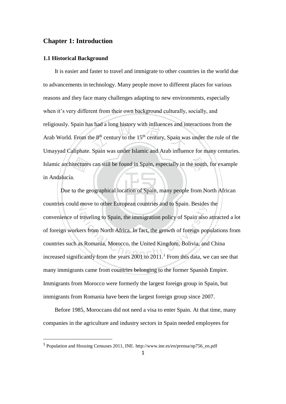#### **Chapter 1: Introduction**

#### <span id="page-7-0"></span>**1.1 Historical Background**

It is easier and faster to travel and immigrate to other countries in the world due to advancements in technology. Many people move to different places for various reasons and they face many challenges adapting to new environments, especially when it's very different from their own background culturally, socially, and religiously. Spain has had a long history with influences and interactions from the Arab World. From the  $8<sup>th</sup>$  century to the  $15<sup>th</sup>$  century, Spain was under the rule of the Umayyad Caliphate. Spain was under Islamic and Arab influence for many centuries. Islamic architectures can still be found in Spain, especially in the south, for example in Andalucía.

Due to the geographical location of Spain, many people from North African countries could move to other European countries and to Spain. Besides the convenience of traveling to Spain, the immigration policy of Spain also attracted a lot of foreign workers from North Africa. In fact, the growth of foreign populations from countries such as Romania, Morocco, the United Kingdom, Bolivia, and China increased significantly from the years  $2001$  to  $2011.<sup>1</sup>$  From this data, we can see that many immigrants came from countries belonging to the former Spanish Empire. Immigrants from Morocco were formerly the largest foreign group in Spain, but immigrants from Romania have been the largest foreign group since 2007.

Before 1985, Moroccans did not need a visa to enter Spain. At that time, many companies in the agriculture and industry sectors in Spain needed employees for

<sup>1</sup> Population and Housing Censuses 2011, INE. [http://www.ine.es/en/prensa/np756\\_en.pdf](http://www.ine.es/en/prensa/np756_en.pdf)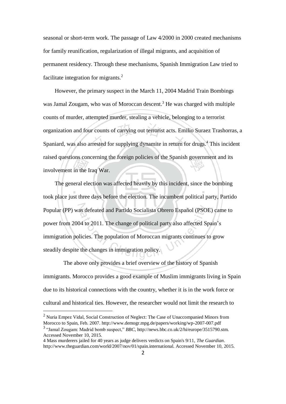seasonal or short-term work. The passage of Law 4/2000 in 2000 created mechanisms for family reunification, regularization of illegal migrants, and acquisition of permanent residency. Through these mechanisms, Spanish Immigration Law tried to facilitate integration for migrants.<sup>2</sup>

However, the primary suspect in the March 11, 2004 Madrid Train Bombings was Jamal Zougam, who was of Moroccan descent.<sup>3</sup> He was charged with multiple counts of murder, attempted murder, stealing a vehicle, belonging to a terrorist organization and four counts of carrying out terrorist acts. Emilio Suraez Trashorras, a Spaniard, was also arrested for supplying dynamite in return for drugs.<sup>4</sup> This incident raised questions concerning the foreign policies of the Spanish government and its involvement in the Iraq War.

The general election was affected heavily by this incident, since the bombing took place just three days before the election. The incumbent political party, Partido Popular (PP) was defeated and Partido Socialista Obrero Español (PSOE) came to power from 2004 to 2011. The change of political party also affected Spain's immigration policies. The population of Moroccan migrants continues to grow steadily despite the changes in immigration policy.

 The above only provides a brief overview of the history of Spanish immigrants. Morocco provides a good example of Muslim immigrants living in Spain due to its historical connections with the country, whether it is in the work force or cultural and historical ties. However, the researcher would not limit the research to

<sup>2</sup> Nuria Empez Vidal, Social Construction of Neglect: The Case of Unaccompanied Minors from Morocco to Spain, Feb. 2007. http://www.demogr.mpg.de/papers/working/wp-2007-007.pdf

<sup>3</sup> "Jamal Zougam: Madrid bomb suspect," *BBC*, http://news.bbc.co.uk/2/hi/europe/3515790.stm. Accessed November 10, 2015.

<sup>4</sup> Mass murderers jailed for 40 years as judge delivers verdicts on Spain's 9/11, *The Guardian*. http://www.theguardian.com/world/2007/nov/01/spain.international. Accessed November 10, 2015.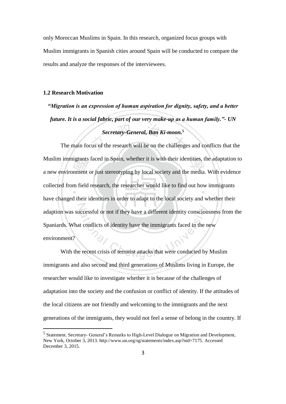only Moroccan Muslims in Spain. In this research, organized focus groups with Muslim immigrants in Spanish cities around Spain will be conducted to compare the results and analyze the responses of the interviewees.

#### <span id="page-9-0"></span>**1.2 Research Motivation**

-

*"Migration is an expression of human aspiration for dignity, safety, and a better future. It is a social fabric, part of our very make-up as a human family."- UN Secretary-General, Ban Ki-moon.<sup>5</sup>*

The main focus of the research will be on the challenges and conflicts that the Muslim immigrants faced in Spain, whether it is with their identities, the adaptation to a new environment or just stereotyping by local society and the media. With evidence collected from field research, the researcher would like to find out how immigrants have changed their identities in order to adapt to the local society and whether their adaption was successful or not if they have a different identity consciousness from the Spaniards. What conflicts of identity have the immigrants faced in the new environment?

With the recent crisis of terrorist attacks that were conducted by Muslim immigrants and also second and third generations of Muslims living in Europe, the researcher would like to investigate whether it is because of the challenges of adaptation into the society and the confusion or conflict of identity. If the attitudes of the local citizens are not friendly and welcoming to the immigrants and the next generations of the immigrants, they would not feel a sense of belong in the country. If

<sup>&</sup>lt;sup>5</sup> Statement. Secretary- General's Remarks to High-Level Dialogue on Migration and Development, New York, October 3, 2013[. http://www.un.org/sg/statements/index.asp?nid=7175.](http://www.un.org/sg/statements/index.asp?nid=7175) Accessed December 3, 2015.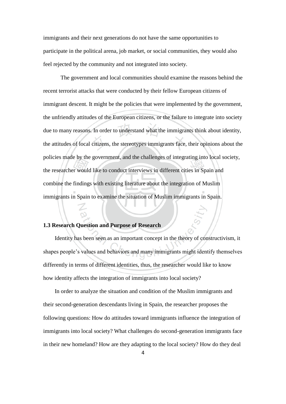immigrants and their next generations do not have the same opportunities to participate in the political arena, job market, or social communities, they would also feel rejected by the community and not integrated into society.

The government and local communities should examine the reasons behind the recent terrorist attacks that were conducted by their fellow European citizens of immigrant descent. It might be the policies that were implemented by the government, the unfriendly attitudes of the European citizens, or the failure to integrate into society due to many reasons. In order to understand what the immigrants think about identity, the attitudes of local citizens, the stereotypes immigrants face, their opinions about the policies made by the government, and the challenges of integrating into local society, the researcher would like to conduct interviews in different cities in Spain and combine the findings with existing literature about the integration of Muslim immigrants in Spain to examine the situation of Muslim immigrants in Spain.

#### <span id="page-10-0"></span>**1.3 Research Question and Purpose of Research**

Identity has been seen as an important concept in the theory of constructivism, it shapes people's values and behaviors and many immigrants might identify themselves differently in terms of different identities, thus, the researcher would like to know how identity affects the integration of immigrants into local society?

In order to analyze the situation and condition of the Muslim immigrants and their second-generation descendants living in Spain, the researcher proposes the following questions: How do attitudes toward immigrants influence the integration of immigrants into local society? What challenges do second-generation immigrants face in their new homeland? How are they adapting to the local society? How do they deal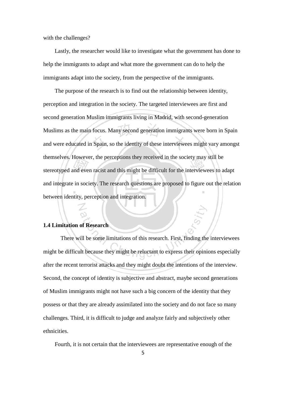with the challenges?

Lastly, the researcher would like to investigate what the government has done to help the immigrants to adapt and what more the government can do to help the immigrants adapt into the society, from the perspective of the immigrants.

The purpose of the research is to find out the relationship between identity, perception and integration in the society. The targeted interviewees are first and second generation Muslim immigrants living in Madrid, with second-generation Muslims as the main focus. Many second generation immigrants were born in Spain and were educated in Spain, so the identity of these interviewees might vary amongst themselves. However, the perceptions they received in the society may still be stereotyped and even racist and this might be difficult for the interviewees to adapt and integrate in society. The research questions are proposed to figure out the relation between identity, perception and integration.

#### <span id="page-11-0"></span>**1.4 Limitation of Research**

There will be some limitations of this research. First, finding the interviewees might be difficult because they might be reluctant to express their opinions especially after the recent terrorist attacks and they might doubt the intentions of the interview. Second, the concept of identity is subjective and abstract, maybe second generations of Muslim immigrants might not have such a big concern of the identity that they possess or that they are already assimilated into the society and do not face so many challenges. Third, it is difficult to judge and analyze fairly and subjectively other ethnicities.

Fourth, it is not certain that the interviewees are representative enough of the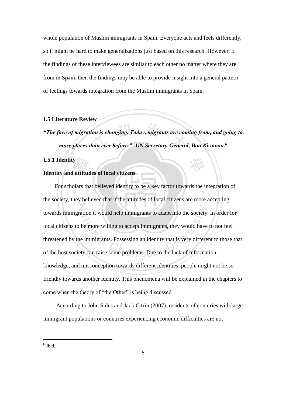whole population of Muslim immigrants in Spain. Everyone acts and feels differently, so it might be hard to make generalizations just based on this research. However, if the findings of these interviewees are similar to each other no matter where they are from in Spain, then the findings may be able to provide insight into a general pattern of feelings towards integration from the Muslim immigrants in Spain.

#### <span id="page-12-0"></span>**1.5 Literature Review**

*"The face of migration is changing. Today, migrants are coming from, and going to, more places than ever before."- UN Secretary-General, Ban Ki-moon.<sup>6</sup>*

#### <span id="page-12-1"></span>**1.5.1 Identity**

#### **Identity and attitudes of local citizens**

For scholars that believed identity to be a key factor towards the integration of the society, they believed that if the attitudes of local citizens are more accepting towards immigration it would help immigrants to adapt into the society. In order for local citizens to be more willing to accept immigrants, they would have to not feel threatened by the immigrants. Possessing an identity that is very different to those that of the host society can raise some problems. Due to the lack of information, knowledge, and misconception towards different identities, people might not be so friendly towards another identity. This phenomena will be explained in the chapters to come when the theory of "the Other" is being discussed.

According to John Sides and Jack Citrin (2007), residents of countries with large immigrant populations or countries experiencing economic difficulties are not

<sup>6</sup> Ibid.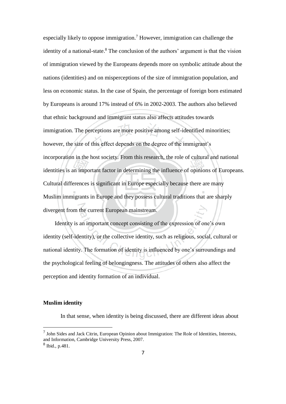especially likely to oppose immigration.<sup>7</sup> However, immigration can challenge the identity of a national-state.<sup>8</sup> The conclusion of the authors' argument is that the vision of immigration viewed by the Europeans depends more on symbolic attitude about the nations (identities) and on misperceptions of the size of immigration population, and less on economic status. In the case of Spain, the percentage of foreign born estimated by Europeans is around 17% instead of 6% in 2002-2003. The authors also believed that ethnic background and immigrant status also affects attitudes towards immigration. The perceptions are more positive among self-identified minorities; however, the size of this effect depends on the degree of the immigrant's incorporation in the host society. From this research, the role of cultural and national identities is an important factor in determining the influence of opinions of Europeans. Cultural differences is significant in Europe especially because there are many Muslim immigrants in Europe and they possess cultural traditions that are sharply divergent from the current European mainstream.

Identity is an important concept consisting of the expression of one's own identity (self-identity), or the collective identity, such as religious, social, cultural or national identity. The formation of identity is influenced by one's surroundings and the psychological feeling of belongingness. The attitudes of others also affect the perception and identity formation of an individual.

#### **Muslim identity**

In that sense, when identity is being discussed, there are different ideas about

 $<sup>7</sup>$  John Sides and Jack Citrin, European Opinion about Immigration: The Role of Identities, Interests,</sup> and Information, Cambridge University Press, 2007.

<sup>8</sup> Ibid., p.481.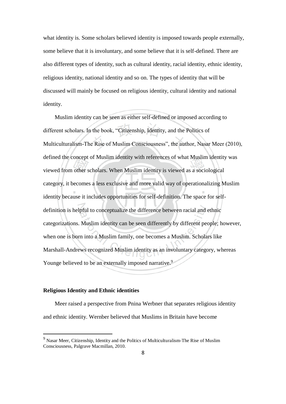what identity is. Some scholars believed identity is imposed towards people externally, some believe that it is involuntary, and some believe that it is self-defined. There are also different types of identity, such as cultural identity, racial identity, ethnic identity, religious identity, national identity and so on. The types of identity that will be discussed will mainly be focused on religious identity, cultural identity and national identity.

Muslim identity can be seen as either self-defined or imposed according to different scholars. In the book, "Citizenship, Identity, and the Politics of Multiculturalism-The Rise of Muslim Consciousness", the author, Nasar Meer (2010), defined the concept of Muslim identity with references of what Muslim identity was viewed from other scholars. When Muslim identity is viewed as a sociological category, it becomes a less exclusive and more valid way of operationalizing Muslim identity because it includes opportunities for self-definition. The space for selfdefinition is helpful to conceptualize the difference between racial and ethnic categorizations. Muslim identity can be seen differently by different people; however, when one is born into a Muslim family, one becomes a Muslim. Scholars like Marshall-Andrews recognized Muslim identity as an involuntary category, whereas Younge believed to be an externally imposed narrative.<sup>9</sup>

#### **Religious Identity and Ethnic identities**

-

Meer raised a perspective from Pnina Werbner that separates religious identity and ethnic identity. Wernber believed that Muslims in Britain have become

<sup>&</sup>lt;sup>9</sup> Nasar Meer, Citizenship, Identity and the Politics of Multiculturalism-The Rise of Muslim Consciousness, Palgrave Macmillan, 2010.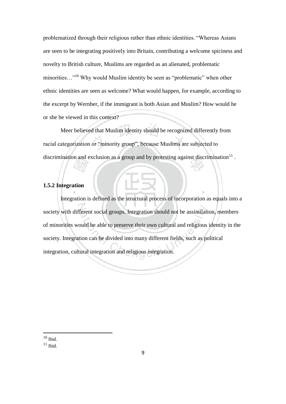problematized through their religious rather than ethnic identities. "Whereas Asians are seen to be integrating positively into Britain, contributing a welcome spiciness and novelty to British culture, Muslims are regarded as an alienated, problematic minorities...<sup>"10</sup> Why would Muslim identity be seen as "problematic" when other ethnic identities are seen as welcome? What would happen, for example, according to the excerpt by Wernber, if the immigrant is both Asian and Muslim? How would he or she be viewed in this context?

Meer believed that Muslim identity should be recognized differently from racial categorization or "minority group", because Muslims are subjected to discrimination and exclusion as a group and by protesting against discrimination $^{11}$ .

#### <span id="page-15-0"></span>**1.5.2 Integration**

Integration is defined as the structural process of incorporation as equals into a society with different social groups. Integration should not be assimilation, members of minorities would be able to preserve their own cultural and religious identity in the society. Integration can be divided into many different fields, such as political integration, cultural integration and religious integration.

 $10$  Ibid.

 $11$  Ibid.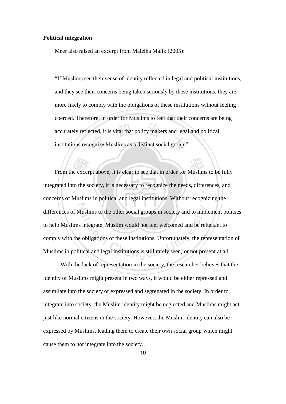#### **Political integration**

Meer also raised an excerpt from Maleiha Malik (2005):

"If Muslims see their sense of identity reflected in legal and political institutions, and they see their concerns being taken seriously by these institutions, they are more likely to comply with the obligations of these institutions without feeling coerced. Therefore, in order for Muslims to feel that their concerns are being accurately reflected, it is vital that policy makers and legal and political institutions recognize Muslims as a distinct social group."

From the excerpt above, it is clear to see that in order for Muslims to be fully integrated into the society, it is necessary to recognize the needs, differences, and concerns of Muslims in political and legal institutions. Without recognizing the differences of Muslims to the other social groups in society and to implement policies to help Muslims integrate, Muslim would not feel welcomed and be reluctant to comply with the obligations of these institutions. Unfortunately, the representation of Muslims in political and legal institutions is still rarely seen, or not present at all.

With the lack of representation in the society, the researcher believes that the identity of Muslims might present in two ways, it would be either repressed and assimilate into the society or expressed and segregated in the society. In order to integrate into society, the Muslim identity might be neglected and Muslims might act just like normal citizens in the society. However, the Muslim identity can also be expressed by Muslims, leading them to create their own social group which might cause them to not integrate into the society.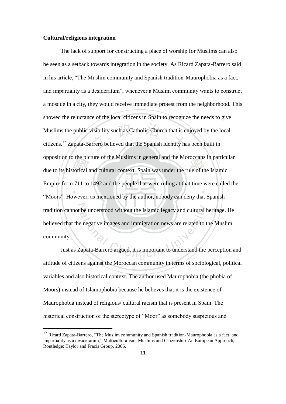#### **Cultural/religious integration**

-

The lack of support for constructing a place of worship for Muslims can also be seen as a setback towards integration in the society. As Ricard Zapata-Barrero said in his article, "The Muslim community and Spanish tradition-Maurophobia as a fact, and impartiality as a desideratum", whenever a Muslim community wants to construct a mosque in a city, they would receive immediate protest from the neighborhood. This showed the reluctance of the local citizens in Spain to recognize the needs to give Muslims the public visibility such as Catholic Church that is enjoyed by the local citizens.<sup>12</sup> Zapata-Barrero believed that the Spanish identity has been built in opposition to the picture of the Muslims in general and the Moroccans in particular due to its historical and cultural context. Spain was under the rule of the Islamic Empire from 711 to 1492 and the people that were ruling at that time were called the "Moors". However, as mentioned by the author, nobody can deny that Spanish tradition cannot be understood without the Islamic legacy and cultural heritage. He believed that the negative images and immigration news are related to the Muslim community.

Just as Zapata-Barrero argued, it is important to understand the perception and attitude of citizens against the Moroccan community in terms of sociological, political variables and also historical context. The author used Maurophobia (the phobia of Moors) instead of Islamophobia because he believes that it is the existence of Maurophobia instead of religious/ cultural racism that is present in Spain. The historical construction of the stereotype of "Moor" as somebody suspicious and

 $12$  Ricard Zapata-Barrero, "The Muslim community and Spanish tradition-Maurophobia as a fact, and impartiality as a desideratum," Multiculturalism, Muslims and Citizenship-An European Approach, Routledge: Taylor and Fracis Group, 2006.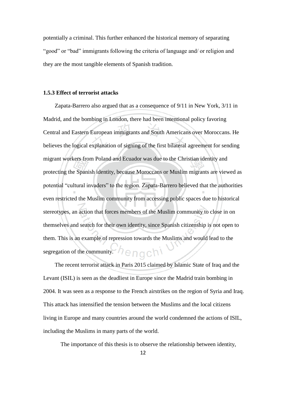potentially a criminal. This further enhanced the historical memory of separating "good" or "bad" immigrants following the criteria of language and/ or religion and they are the most tangible elements of Spanish tradition.

#### <span id="page-18-0"></span>**1.5.3 Effect of terrorist attacks**

Zapata-Barrero also argued that as a consequence of 9/11 in New York, 3/11 in Madrid, and the bombing in London, there had been intentional policy favoring Central and Eastern European immigrants and South Americans over Moroccans. He believes the logical explanation of signing of the first bilateral agreement for sending migrant workers from Poland and Ecuador was due to the Christian identity and protecting the Spanish identity, because Moroccans or Muslim migrants are viewed as potential "cultural invaders" to the region. Zapata-Barrero believed that the authorities even restricted the Muslim community from accessing public spaces due to historical stereotypes, an action that forces members of the Muslim community to close in on themselves and search for their own identity, since Spanish citizenship is not open to them. This is an example of repression towards the Muslims and would lead to the segregation of the community. enach

The recent terrorist attack in Paris 2015 claimed by Islamic State of Iraq and the Levant (ISIL) is seen as the deadliest in Europe since the Madrid train bombing in 2004. It was seen as a response to the French airstrikes on the region of Syria and Iraq. This attack has intensified the tension between the Muslims and the local citizens living in Europe and many countries around the world condemned the actions of ISIL, including the Muslims in many parts of the world.

The importance of this thesis is to observe the relationship between identity,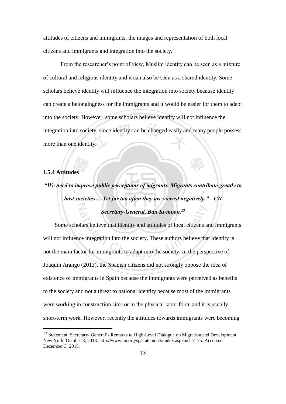attitudes of citizens and immigrants, the images and representation of both local citizens and immigrants and integration into the society.

From the researcher's point of view, Muslim identity can be seen as a mixture of cultural and religious identity and it can also be seen as a shared identity. Some scholars believe identity will influence the integration into society because identity can create a belongingness for the immigrants and it would be easier for them to adapt into the society. However, some scholars believe identity will not influence the integration into society, since identity can be changed easily and many people possess more than one identity.

#### <span id="page-19-0"></span>**1.5.4 Attitudes**

-

*"We need to improve public perceptions of migrants. Migrants contribute greatly to host societies… Yet far too often they are viewed negatively." - UN Secretary-General, Ban Ki-moon.<sup>13</sup>*

Some scholars believe that identity and attitudes of local citizens and immigrants will not influence integration into the society. These authors believe that identity is not the main factor for immigrants to adapt into the society. In the perspective of Joaquin Arango (2013), the Spanish citizens did not strongly oppose the idea of existence of immigrants in Spain because the immigrants were perceived as benefits to the society and not a threat to national identity because most of the immigrants were working in construction sites or in the physical labor force and it is usually short-term work. However, recently the attitudes towards immigrants were becoming

<sup>&</sup>lt;sup>13</sup> Statement. Secretary- General's Remarks to High-Level Dialogue on Migration and Development, New York, October 3, 2013[. http://www.un.org/sg/statements/index.asp?nid=7175.](http://www.un.org/sg/statements/index.asp?nid=7175) Accessed December 3, 2015.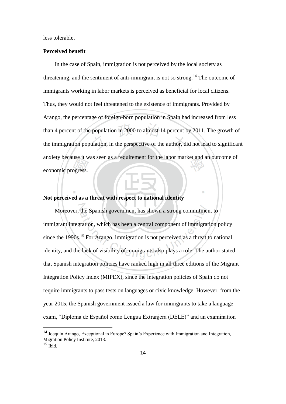less tolerable.

#### **Perceived benefit**

In the case of Spain, immigration is not perceived by the local society as threatening, and the sentiment of anti-immigrant is not so strong.<sup>14</sup> The outcome of immigrants working in labor markets is perceived as beneficial for local citizens. Thus, they would not feel threatened to the existence of immigrants. Provided by Arango, the percentage of foreign-born population in Spain had increased from less than 4 percent of the population in 2000 to almost 14 percent by 2011. The growth of the immigration population, in the perspective of the author, did not lead to significant anxiety because it was seen as a requirement for the labor market and an outcome of economic progress.

#### **Not perceived as a threat with respect to national identity**

Moreover, the Spanish government has shown a strong commitment to immigrant integration, which has been a central component of immigration policy since the 1990s.<sup>15</sup> For Arango, immigration is not perceived as a threat to national identity, and the lack of visibility of immigrants also plays a role. The author stated that Spanish integration policies have ranked high in all three editions of the Migrant Integration Policy Index (MIPEX), since the integration policies of Spain do not require immigrants to pass tests on languages or civic knowledge. However, from the year 2015, the Spanish government issued a law for immigrants to take a language exam, "Diploma de Español como Lengua Extranjera (DELE)" and an examination

<sup>&</sup>lt;sup>14</sup> Joaquin Arango, Exceptional in Europe? Spain's Experience with Immigration and Integration, Migration Policy Institute, 2013.

 $15$  Ibid.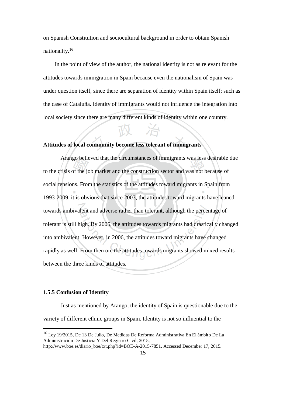on Spanish Constitution and sociocultural background in order to obtain Spanish nationality.<sup>16</sup>

In the point of view of the author, the national identity is not as relevant for the attitudes towards immigration in Spain because even the nationalism of Spain was under question itself, since there are separation of identity within Spain itself; such as the case of Cataluña. Identity of immigrants would not influence the integration into local society since there are many different kinds of identity within one country.

#### **Attitudes of local community become less tolerant of immigrants**

Arango believed that the circumstances of immigrants was less desirable due to the crisis of the job market and the construction sector and was not because of social tensions. From the statistics of the attitudes toward migrants in Spain from 1993-2009, it is obvious that since 2003, the attitudes toward migrants have leaned towards ambivalent and adverse rather than tolerant, although the percentage of tolerant is still high. By 2005, the attitudes towards migrants had drastically changed into ambivalent. However, in 2006, the attitudes toward migrants have changed rapidly as well. From then on, the attitudes towards migrants showed mixed results between the three kinds of attitudes.

#### <span id="page-21-0"></span>**1.5.5 Confusion of Identity**

-

Just as mentioned by Arango, the identity of Spain is questionable due to the variety of different ethnic groups in Spain. Identity is not so influential to the

<sup>16</sup> Ley 19/2015, De 13 De Julio, De Medidas De Reforma Administrativa En El ámbito De La Administración De Justicia Y Del Registro Civil, 2015,

[http://www.boe.es/diario\\_boe/txt.php?id=BOE-A-2015-7851.](http://www.boe.es/diario_boe/txt.php?id=BOE-A-2015-7851) Accessed December 17, 2015.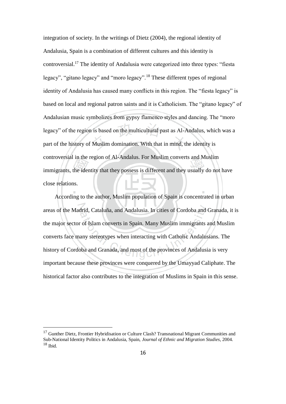integration of society. In the writings of Dietz (2004), the regional identity of Andalusia, Spain is a combination of different cultures and this identity is controversial.<sup>17</sup> The identity of Andalusia were categorized into three types: "fiesta legacy", "gitano legacy" and "moro legacy".<sup>18</sup> These different types of regional identity of Andalusia has caused many conflicts in this region. The "fiesta legacy" is based on local and regional patron saints and it is Catholicism. The "gitano legacy" of Andalusian music symbolizes from gypsy flamenco styles and dancing. The "moro legacy" of the region is based on the multicultural past as Al-Andalus, which was a part of the history of Muslim domination. With that in mind, the identity is controversial in the region of Al-Andalus. For Muslim converts and Muslim immigrants, the identity that they possess is different and they usually do not have close relations.

According to the author, Muslim population of Spain is concentrated in urban areas of the Madrid, Cataluña, and Andalusia. In cities of Cordoba and Granada, it is the major sector of Islam converts in Spain. Many Muslim immigrants and Muslim converts face many stereotypes when interacting with Catholic Andalusians. The history of Cordoba and Granada, and most of the provinces of Andalusia is very important because these provinces were conquered by the Umayyad Caliphate. The historical factor also contributes to the integration of Muslims in Spain in this sense.

<sup>&</sup>lt;sup>17</sup> Gunther Dietz, Frontier Hybridisation or Culture Clash? Transnational Migrant Communities and Sub-National Identity Politics in Andalusia, Spain, *Journal of Ethnic and Migration Studies*, 2004.  $18$  Ibid.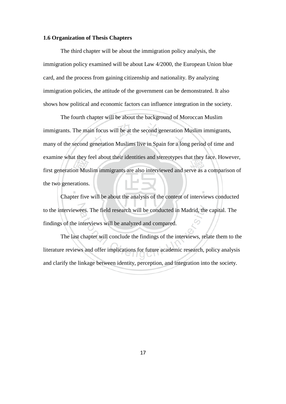#### <span id="page-23-0"></span>**1.6 Organization of Thesis Chapters**

The third chapter will be about the immigration policy analysis, the immigration policy examined will be about Law 4/2000, the European Union blue card, and the process from gaining citizenship and nationality. By analyzing immigration policies, the attitude of the government can be demonstrated. It also shows how political and economic factors can influence integration in the society.

The fourth chapter will be about the background of Moroccan Muslim immigrants. The main focus will be at the second generation Muslim immigrants, many of the second generation Muslims live in Spain for a long period of time and examine what they feel about their identities and stereotypes that they face. However, first generation Muslim immigrants are also interviewed and serve as a comparison of the two generations.

Chapter five will be about the analysis of the content of interviews conducted to the interviewees. The field research will be conducted in Madrid, the capital. The findings of the interviews will be analyzed and compared.

<span id="page-23-1"></span>The last chapter will conclude the findings of the interviews, relate them to the literature reviews and offer implications for future academic research, policy analysis and clarify the linkage between identity, perception, and integration into the society.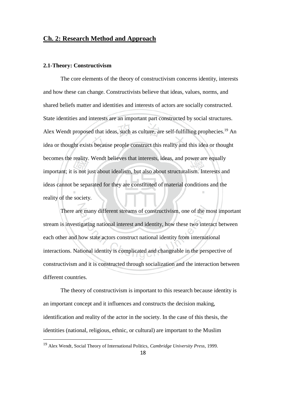#### **Ch. 2: Research Method and Approach**

#### <span id="page-24-0"></span>**2.1-Theory: Constructivism**

The core elements of the theory of constructivism concerns identity, interests and how these can change. Constructivists believe that ideas, values, norms, and shared beliefs matter and identities and interests of actors are socially constructed. State identities and interests are an important part constructed by social structures. Alex Wendt proposed that ideas, such as culture, are self-fulfilling prophecies.<sup>19</sup> An idea or thought exists because people construct this reality and this idea or thought becomes the reality. Wendt believes that interests, ideas, and power are equally important; it is not just about idealism, but also about structuralism. Interests and ideas cannot be separated for they are constituted of material conditions and the reality of the society.

There are many different streams of constructivism, one of the most important stream is investigating national interest and identity, how these two interact between each other and how state actors construct national identity from international interactions. National identity is complicated and changeable in the perspective of constructivism and it is constructed through socialization and the interaction between different countries.

The theory of constructivism is important to this research because identity is an important concept and it influences and constructs the decision making, identification and reality of the actor in the society. In the case of this thesis, the identities (national, religious, ethnic, or cultural) are important to the Muslim

<sup>19</sup> Alex Wendt, Social Theory of International Politics, *Cambridge University Press*, 1999.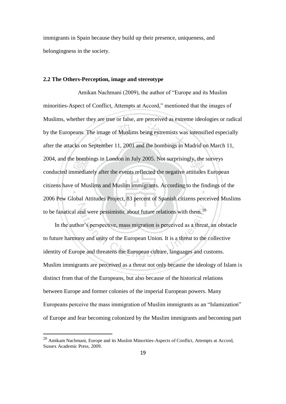immigrants in Spain because they build up their presence, uniqueness, and belongingness in the society.

#### <span id="page-25-0"></span>**2.2 The Others-Perception, image and stereotype**

Amikan Nachmani (2009), the author of "Europe and its Muslim minorities-Aspect of Conflict, Attempts at Accord," mentioned that the images of Muslims, whether they are true or false, are perceived as extreme ideologies or radical by the Europeans. The image of Muslims being extremists was intensified especially after the attacks on September 11, 2001 and the bombings in Madrid on March 11, 2004, and the bombings in London in July 2005. Not surprisingly, the surveys conducted immediately after the events reflected the negative attitudes European citizens have of Muslims and Muslim immigrants. According to the findings of the 2006 Pew Global Attitudes Project, 83 percent of Spanish citizens perceived Muslims to be fanatical and were pessimistic about future relations with them.<sup>20</sup>

In the author's perspective, mass migration is perceived as a threat, an obstacle to future harmony and unity of the European Union. It is a threat to the collective identity of Europe and threatens the European culture, languages and customs. Muslim immigrants are perceived as a threat not only because the ideology of Islam is distinct from that of the Europeans, but also because of the historical relations between Europe and former colonies of the imperial European powers. Many Europeans perceive the mass immigration of Muslim immigrants as an "Islamization" of Europe and fear becoming colonized by the Muslim immigrants and becoming part

 $20$  Amikam Nachmani, Europe and its Muslim Minorities-Aspects of Conflict, Attempts at Accord, Sussex Academic Pres*s*, 2009.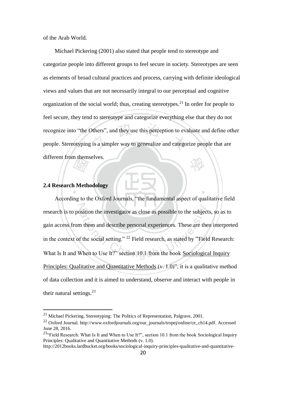of the Arab World.

Michael Pickering (2001) also stated that people tend to stereotype and categorize people into different groups to feel secure in society. Stereotypes are seen as elements of broad cultural practices and process, carrying with definite ideological views and values that are not necessarily integral to our perceptual and cognitive organization of the social world; thus, creating stereotypes.<sup>21</sup> In order for people to feel secure, they tend to stereotype and categorize everything else that they do not recognize into "the Others", and they use this perception to evaluate and define other people. Stereotyping is a simpler way to generalize and categorize people that are different from themselves.

#### <span id="page-26-0"></span>**2.4 Research Methodology**

-

According to the Oxford Journals, "the fundamental aspect of qualitative field research is to position the investigator as close as possible to the subjects, so as to gain access from them and describe personal experiences. These are then interpreted in the context of the social setting." <sup>22</sup> Field research, as stated by "Field Research: What Is It and When to Use It?" section 10.1 from the book Sociological Inquiry [Principles: Qualitative and Quantitative Methods](http://2012books.lardbucket.org/books/sociological-inquiry-principles-qualitative-and-quantitative-methods/index.html) (v. 1.0)", it is a qualitative method of data collection and it is aimed to understand, observe and interact with people in their natural settings.<sup>23</sup>

<sup>21</sup> Michael Pickering, Stereotyping: The Politics of Representation, Palgrave, 2001.

<sup>&</sup>lt;sup>22</sup> Oxford Journal. [http://www.oxfordjournals.org/our\\_journals/tropej/online/ce\\_ch14.pdf.](http://www.oxfordjournals.org/our_journals/tropej/online/ce_ch14.pdf) Accessed June 28, 2016.

<sup>&</sup>lt;sup>23.</sup> Field Research: What Is It and When to Use It?", section 10.1 from the book Sociological Inquiry [Principles: Qualitative and Quantitative Methods](http://2012books.lardbucket.org/books/sociological-inquiry-principles-qualitative-and-quantitative-methods/index.html) (v. 1.0).

[http://2012books.lardbucket.org/books/sociological-inquiry-principles-qualitative-and-quantitative-](http://2012books.lardbucket.org/books/sociological-inquiry-principles-qualitative-and-quantitative-methods/s13-01-field-research-what-is-it-and-.html)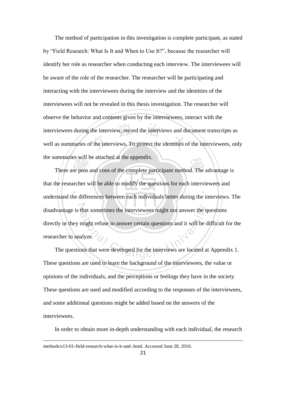The method of participation in this investigation is complete participant, as stated by "Field Research: What Is It and When to Use It?", because the researcher will identify her role as researcher when conducting each interview. The interviewees will be aware of the role of the researcher. The researcher will be participating and interacting with the interviewees during the interview and the identities of the interviewees will not be revealed in this thesis investigation. The researcher will observe the behavior and contents given by the interviewees, interact with the interviewees during the interview, record the interviews and document transcripts as well as summaries of the interviews. To protect the identities of the interviewees, only the summaries will be attached at the appendix.

There are pros and cons of the complete participant method. The advantage is that the researcher will be able to modify the questions for each interviewees and understand the differences between each individuals better during the interviews. The disadvantage is that sometimes the interviewees might not answer the questions directly or they might refuse to answer certain questions and it will be difficult for the researcher to analyze.

The questions that were developed for the interviews are located at Appendix 1. These questions are used to learn the background of the interviewees, the value or opinions of the individuals, and the perceptions or feelings they have in the society. These questions are used and modified according to the responses of the interviewees, and some additional questions might be added based on the answers of the interviewees.

In order to obtain more in-depth understanding with each individual, the research

[methods/s13-01-field-research-what-is-it-and-.html.](http://2012books.lardbucket.org/books/sociological-inquiry-principles-qualitative-and-quantitative-methods/s13-01-field-research-what-is-it-and-.html) Accessed June 28, 2016.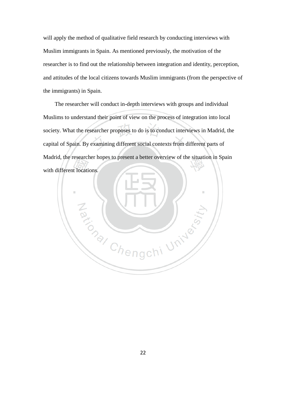will apply the method of qualitative field research by conducting interviews with Muslim immigrants in Spain. As mentioned previously, the motivation of the researcher is to find out the relationship between integration and identity, perception, and attitudes of the local citizens towards Muslim immigrants (from the perspective of the immigrants) in Spain.

The researcher will conduct in-depth interviews with groups and individual Muslims to understand their point of view on the process of integration into local society. What the researcher proposes to do is to conduct interviews in Madrid, the capital of Spain. By examining different social contexts from different parts of Madrid, the researcher hopes to present a better overview of the situation in Spain with different locations.

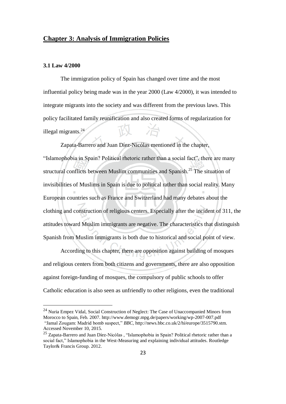### <span id="page-29-0"></span>**Chapter 3: Analysis of Immigration Policies**

#### <span id="page-29-1"></span>**3.1 Law 4/2000**

-

The immigration policy of Spain has changed over time and the most influential policy being made was in the year 2000 (Law 4/2000), it was intended to integrate migrants into the society and was different from the previous laws. This policy facilitated family reunification and also created forms of regularization for illegal migrants.<sup>24</sup>

Zapata-Barrero and Juan Díez-Nicólas mentioned in the chapter, "Islamophobia in Spain? Political rhetoric rather than a social fact", there are many structural conflicts between Muslim communities and Spanish.<sup>25</sup> The situation of invisibilities of Muslims in Spain is due to political rather than social reality. Many European countries such as France and Switzerland had many debates about the clothing and construction of religious centers. Especially after the incident of 311, the attitudes toward Muslim immigrants are negative. The characteristics that distinguish Spanish from Muslim immigrants is both due to historical and social point of view.

According to this chapter, there are opposition against building of mosques and religious centers from both citizens and governments, there are also opposition against foreign-funding of mosques, the compulsory of public schools to offer Catholic education is also seen as unfriendly to other religions, even the traditional

<sup>24</sup> Nuria Empez Vidal, Social Construction of Neglect: The Case of Unaccompanied Minors from Morocco to Spain, Feb. 2007[. http://www.demogr.mpg.de/papers/working/wp-2007-007.pdf](http://www.demogr.mpg.de/papers/working/wp-2007-007.pdf) "Jamal Zougam: Madrid bomb suspect," *BBC*, [http://news.bbc.co.uk/2/hi/europe/3515790.stm.](http://news.bbc.co.uk/2/hi/europe/3515790.stm) Accessed November 10, 2015.

<sup>&</sup>lt;sup>25</sup> Zapata-Barrero and Juan Díez-Nicólas, "Islamophobia in Spain? Political rhetoric rather than a social fact," Islamophobia in the West-Measuring and explaining individual attitudes. Routledge Taylor& Francis Group. 2012.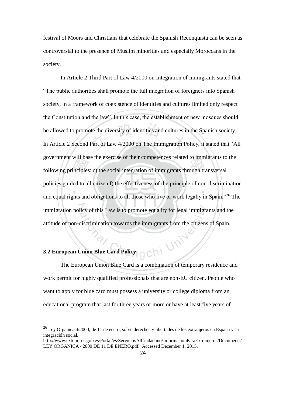festival of Moors and Christians that celebrate the Spanish Reconquista can be seen as controversial to the presence of Muslim minorities and especially Moroccans in the society.

In Article 2 Third Part of Law 4/2000 on Integration of Immigrants stated that "The public authorities shall promote the full integration of foreigners into Spanish society, in a framework of coexistence of identities and cultures limited only respect the Constitution and the law". In this case, the establishment of new mosques should be allowed to promote the diversity of identities and cultures in the Spanish society. In Article 2 Second Part of Law 4/2000 on The Immigration Policy, it stated that "All government will base the exercise of their competences related to immigrants to the following principles: c) the social integration of immigrants through transversal policies guided to all citizen f) the effectiveness of the principle of non-discrimination and equal rights and obligations to all those who live or work legally in Spain."<sup>26</sup> The immigration policy of this Law is to promote equality for legal immigrants and the attitude of non-discrimination towards the immigrants from the citizens of Spain.

-

<span id="page-30-0"></span>**3.2 European Union Blue Card Policy OChi** The European Union Blue Card is a combination of temporary residence and work permit for highly qualified professionals that are non-EU citizen. People who want to apply for blue card must possess a university or college diploma from an educational program that last for three years or more or have at least five years of

 $^{26}$  Ley Orgánica 4/2000, de 11 de enero, sobre derechos y libertades de los extranjeros en España y su integración social.

http://www.exteriores.gob.es/Portal/es/ServiciosAlCiudadano/InformacionParaExtranjeros/Documents/ LEY ORGÁNICA 42000 DE 11 DE ENERO.pdf. Accessed December 1, 2015.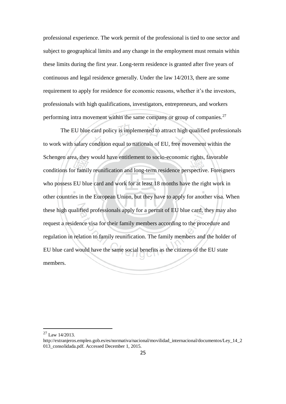professional experience. The work permit of the professional is tied to one sector and subject to geographical limits and any change in the employment must remain within these limits during the first year. Long-term residence is granted after five years of continuous and legal residence generally. Under the law 14/2013, there are some requirement to apply for residence for economic reasons, whether it's the investors, professionals with high qualifications, investigators, entrepreneurs, and workers performing intra movement within the same company or group of companies. $^{27}$ 

The EU blue card policy is implemented to attract high qualified professionals to work with salary condition equal to nationals of EU, free movement within the Schengen area, they would have entitlement to socio-economic rights, favorable conditions for family reunification and long-term residence perspective. Foreigners who possess EU blue card and work for at least 18 months have the right work in other countries in the European Union, but they have to apply for another visa. When these high qualified professionals apply for a permit of EU blue card, they may also request a residence visa for their family members according to the procedure and regulation in relation to family reunification. The family members and the holder of EU blue card would have the same social benefits as the citizens of the EU state members.

<span id="page-31-0"></span> $^{27}$  Law 14/2013.

[http://extranjeros.empleo.gob.es/es/normativa/nacional/movilidad\\_internacional/documentos/Ley\\_14\\_2](http://extranjeros.empleo.gob.es/es/normativa/nacional/movilidad_internacional/documentos/Ley_14_2013_consolidada.pdf) 013 consolidada.pdf. Accessed December 1, 2015.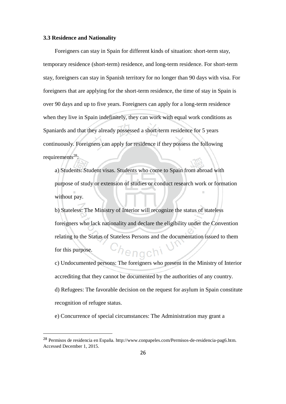#### **3.3 Residence and Nationality**

-

Foreigners can stay in Spain for different kinds of situation: short-term stay, temporary residence (short-term) residence, and long-term residence. For short-term stay, foreigners can stay in Spanish territory for no longer than 90 days with visa. For foreigners that are applying for the short-term residence, the time of stay in Spain is over 90 days and up to five years. Foreigners can apply for a long-term residence when they live in Spain indefinitely, they can work with equal work conditions as Spaniards and that they already possessed a short-term residence for 5 years continuously. Foreigners can apply for residence if they possess the following requirements $28$ :

a) Students: Student visas. Students who come to Spain from abroad with purpose of study or extension of studies or conduct research work or formation without pay.

b) Stateless: The Ministry of Interior will recognize the status of stateless foreigners who lack nationality and declare the eligibility under the Convention relating to the Status of Stateless Persons and the documentation issued to them for this purpose. enac

c) Undocumented persons: The foreigners who present in the Ministry of Interior accrediting that they cannot be documented by the authorities of any country. d) Refugees: The favorable decision on the request for asylum in Spain constitute recognition of refugee status.

e) Concurrence of special circumstances: The Administration may grant a

<sup>28</sup> Permisos de residencia en España. [http://www.conpapeles.com/Permisos-de-residencia-pag6.htm.](http://www.conpapeles.com/Permisos-de-residencia-pag6.htm) Accessed December 1, 2015.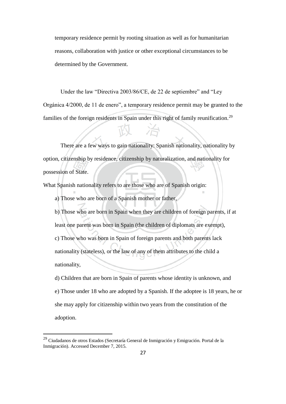temporary residence permit by rooting situation as well as for humanitarian reasons, collaboration with justice or other exceptional circumstances to be determined by the Government.

Under the law "Directiva 2003/86/CE, de 22 de septiembre" and "Ley Orgánica 4/2000, de 11 de enero", a temporary residence permit may be granted to the families of the foreign residents in Spain under this right of family reunification.<sup>29</sup>

There are a few ways to gain nationality: Spanish nationality, nationality by option, citizenship by residence, citizenship by naturalization, and nationality for possession of State.

What Spanish nationality refers to are those who are of Spanish origin:

a) Those who are born of a Spanish mother or father,

b) Those who are born in Spain when they are children of foreign parents, if at least one parent was born in Spain (the children of diplomats are exempt), c) Those who was born in Spain of foreign parents and both parents lack nationality (stateless), or the law of any of them attributes to the child a nationality,

d) Children that are born in Spain of parents whose identity is unknown, and e) Those under 18 who are adopted by a Spanish. If the adoptee is 18 years, he or she may apply for citizenship within two years from the constitution of the adoption.

<sup>&</sup>lt;sup>29</sup> Ciudadanos de otros Estados (Secretaría General de Inmigración y Emigración. Portal de la Inmigración). Accessed December 7, 2015.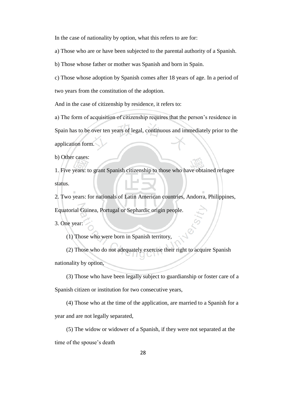In the case of nationality by option, what this refers to are for:

a) Those who are or have been subjected to the parental authority of a Spanish.

b) Those whose father or mother was Spanish and born in Spain.

c) Those whose adoption by Spanish comes after 18 years of age. In a period of two years from the constitution of the adoption.

And in the case of citizenship by residence, it refers to:

a) The form of acquisition of citizenship requires that the person's residence in Spain has to be over ten years of legal, continuous and immediately prior to the application form.

b) Other cases:

1. Five years: to grant Spanish citizenship to those who have obtained refugee status.

2. Two years: for nationals of Latin American countries, Andorra, Philippines,

Equatorial Guinea, Portugal or Sephardic origin people.

3. One year:

(1) Those who were born in Spanish territory,

(2) Those who do not adequately exercise their right to acquire Spanish nationality by option,

(3) Those who have been legally subject to guardianship or foster care of a

Spanish citizen or institution for two consecutive years,

(4) Those who at the time of the application, are married to a Spanish for a

year and are not legally separated,

(5) The widow or widower of a Spanish, if they were not separated at the

time of the spouse's death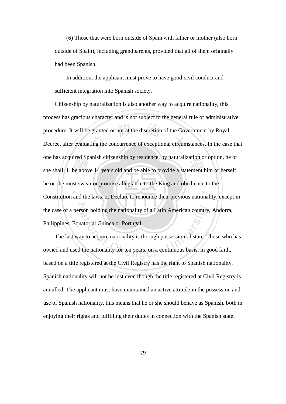(6) Those that were born outside of Spain with father or mother (also born outside of Spain), including grandparents, provided that all of them originally had been Spanish.

In addition, the applicant must prove to have good civil conduct and sufficient integration into Spanish society.

Citizenship by naturalization is also another way to acquire nationality, this process has gracious character and is not subject to the general rule of administrative procedure. It will be granted or not at the discretion of the Government by Royal Decree, after evaluating the concurrence of exceptional circumstances. In the case that one has acquired Spanish citizenship by residence, by naturalization or option, he or she shall: 1. be above 14 years old and be able to provide a statement him or herself, he or she must swear or promise allegiance to the King and obedience to the Constitution and the laws. 2. Declare to renounce their previous nationality, except in the case of a person holding the nationality of a Latin American country, Andorra, Philippines, Equatorial Guinea or Portugal.

The last way to acquire nationality is through possession of state. Those who has owned and used the nationality for ten years, on a continuous basis, in good faith, based on a title registered at the Civil Registry has the right to Spanish nationality. Spanish nationality will not be lost even though the title registered at Civil Registry is annulled. The applicant must have maintained an active attitude in the possession and use of Spanish nationality, this means that he or she should behave as Spanish, both in enjoying their rights and fulfilling their duties in connection with the Spanish state.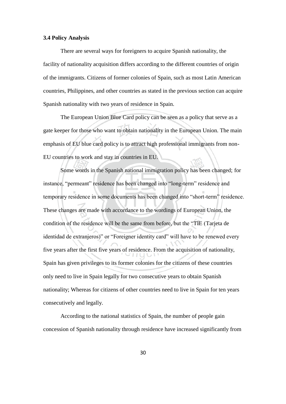#### **3.4 Policy Analysis**

There are several ways for foreigners to acquire Spanish nationality, the facility of nationality acquisition differs according to the different countries of origin of the immigrants. Citizens of former colonies of Spain, such as most Latin American countries, Philippines, and other countries as stated in the previous section can acquire Spanish nationality with two years of residence in Spain.

The European Union Blue Card policy can be seen as a policy that serve as a gate keeper for those who want to obtain nationality in the European Union. The main emphasis of EU blue card policy is to attract high professional immigrants from non-EU countries to work and stay in countries in EU.

Some words in the Spanish national immigration policy has been changed; for instance, "permeant" residence has been changed into "long-term" residence and temporary residence in some documents has been changed into "short-term" residence. These changes are made with accordance to the wordings of European Union, the condition of the residence will be the same from before, but the "TIE (Tarjeta de identidad de extranjeros)" or "Foreigner identity card" will have to be renewed every five years after the first five years of residence. From the acquisition of nationality, Spain has given privileges to its former colonies for the citizens of these countries only need to live in Spain legally for two consecutive years to obtain Spanish nationality; Whereas for citizens of other countries need to live in Spain for ten years consecutively and legally.

According to the national statistics of Spain, the number of people gain concession of Spanish nationality through residence have increased significantly from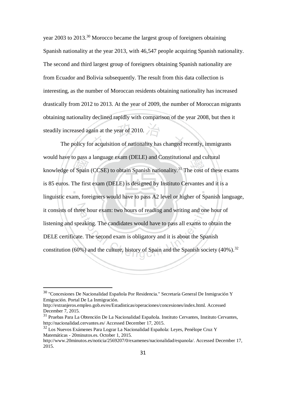year 2003 to 2013.<sup>30</sup> Morocco became the largest group of foreigners obtaining Spanish nationality at the year 2013, with 46,547 people acquiring Spanish nationality. The second and third largest group of foreigners obtaining Spanish nationality are from Ecuador and Bolivia subsequently. The result from this data collection is interesting, as the number of Moroccan residents obtaining nationality has increased drastically from 2012 to 2013. At the year of 2009, the number of Moroccan migrants obtaining nationality declined rapidly with comparison of the year 2008, but then it steadily increased again at the year of 2010.

The policy for acquisition of nationality has changed recently, immigrants would have to pass a language exam (DELE) and Constitutional and cultural knowledge of Spain (CCSE) to obtain Spanish nationality.<sup>31</sup> The cost of these exams is 85 euros. The first exam (DELE) is designed by Instituto Cervantes and it is a linguistic exam, foreigners would have to pass A2 level or higher of Spanish language, it consists of three hour exam: two hours of reading and writing and one hour of listening and speaking. The candidates would have to pass all exams to obtain the DELE certificate. The second exam is obligatory and it is about the Spanish constitution (60%) and the culture, history of Spain and the Spanish society (40%).<sup>32</sup>

<sup>30</sup> "Concesiones De Nacionalidad Española Por Residencia." Secretaría General De Inmigración Y Emigración. Portal De La Inmigración.

http://extranjeros.empleo.gob.es/es/Estadisticas/operaciones/concesiones/index.html. Accessed December 7, 2015.

<sup>31</sup> Pruebas Para La Obtención De La Nacionalidad Española. Instituto Cervantes, Instituto Cervantes, <http://nacionalidad.cervantes.es/> Accessed December 17, 2015.

<sup>32</sup> Los Nuevos Exámenes Para Lograr La Nacionalidad Española: Leyes, Penélope Cruz Y Matemáticas - 20minutos.es. October 1, 2015.

[http://www.20minutos.es/noticia/2569207/0/examenes/nacionalidad/espanola/.](http://www.20minutos.es/noticia/2569207/0/examenes/nacionalidad/espanola/) Accessed December 17, 2015.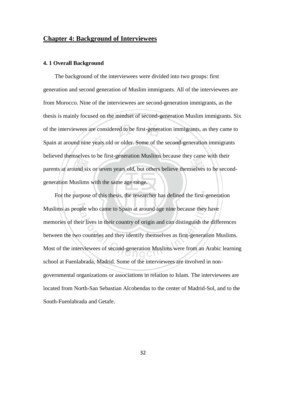## **Chapter 4: Background of Interviewees**

#### **4. 1 Overall Background**

The background of the interviewees were divided into two groups: first generation and second generation of Muslim immigrants. All of the interviewees are from Morocco. Nine of the interviewees are second-generation immigrants, as the thesis is mainly focused on the mindset of second-generation Muslim immigrants. Six of the interviewees are considered to be first-generation immigrants, as they came to Spain at around nine years old or older. Some of the second-generation immigrants believed themselves to be first-generation Muslims because they came with their parents at around six or seven years old, but others believe themselves to be secondgeneration Muslims with the same age range.

For the purpose of this thesis, the researcher has defined the first-generation Muslims as people who came to Spain at around age nine because they have memories of their lives in their country of origin and can distinguish the differences between the two countries and they identify themselves as first-generation Muslims. Most of the interviewees of second-generation Muslims were from an Arabic learning school at Fuenlabrada, Madrid. Some of the interviewees are involved in nongovernmental organizations or associations in relation to Islam. The interviewees are located from North-San Sebastian Alcobendas to the center of Madrid-Sol, and to the South-Fuenlabrada and Getafe.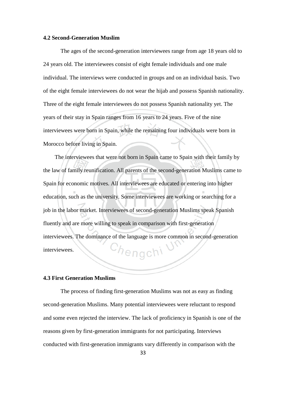#### **4.2 Second-Generation Muslim**

The ages of the second-generation interviewees range from age 18 years old to 24 years old. The interviewees consist of eight female individuals and one male individual. The interviews were conducted in groups and on an individual basis. Two of the eight female interviewees do not wear the hijab and possess Spanish nationality. Three of the eight female interviewees do not possess Spanish nationality yet. The years of their stay in Spain ranges from 16 years to 24 years. Five of the nine interviewees were born in Spain, while the remaining four individuals were born in Morocco before living in Spain.

The interviewees that were not born in Spain came to Spain with their family by the law of family reunification. All parents of the second-generation Muslims came to Spain for economic motives. All interviewees are educated or entering into higher education, such as the university. Some interviewees are working or searching for a job in the labor market. Interviewees of second-generation Muslims speak Spanish fluently and are more willing to speak in comparison with first-generation interviewees. The dominance of the language is more common in second-generation <sup>C</sup>hengch<sup>i</sup> interviewees.

## **4.3 First Generation Muslims**

The process of finding first-generation Muslims was not as easy as finding second-generation Muslims. Many potential interviewees were reluctant to respond and some even rejected the interview. The lack of proficiency in Spanish is one of the reasons given by first-generation immigrants for not participating. Interviews conducted with first-generation immigrants vary differently in comparison with the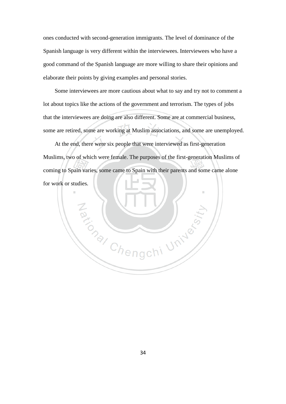ones conducted with second-generation immigrants. The level of dominance of the Spanish language is very different within the interviewees. Interviewees who have a good command of the Spanish language are more willing to share their opinions and elaborate their points by giving examples and personal stories.

Some interviewees are more cautious about what to say and try not to comment a lot about topics like the actions of the government and terrorism. The types of jobs that the interviewees are doing are also different. Some are at commercial business, some are retired, some are working at Muslim associations, and some are unemployed.

At the end, there were six people that were interviewed as first-generation Muslims, two of which were female. The purposes of the first-generation Muslims of coming to Spain varies, some came to Spain with their parents and some came alone for work or studies.

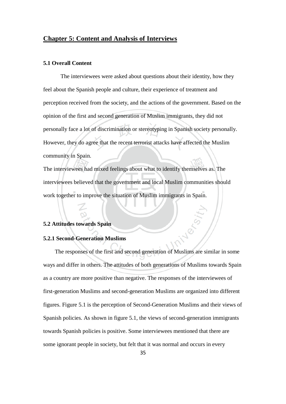## **Chapter 5: Content and Analysis of Interviews**

#### **5.1 Overall Content**

The interviewees were asked about questions about their identity, how they feel about the Spanish people and culture, their experience of treatment and perception received from the society, and the actions of the government. Based on the opinion of the first and second generation of Muslim immigrants, they did not personally face a lot of discrimination or stereotyping in Spanish society personally. However, they do agree that the recent terrorist attacks have affected the Muslim community in Spain.

The interviewees had mixed feelings about what to identify themselves as. The interviewees believed that the government and local Muslim communities should work together to improve the situation of Muslim immigrants in Spain.

#### **5.2 Attitudes towards Spain**

## **5.2.1 Second-Generation Muslims**

The responses of the first and second generation of Muslims are similar in some ways and differ in others. The attitudes of both generations of Muslims towards Spain as a country are more positive than negative. The responses of the interviewees of first-generation Muslims and second-generation Muslims are organized into different figures. Figure 5.1 is the perception of Second-Generation Muslims and their views of Spanish policies. As shown in figure 5.1, the views of second-generation immigrants towards Spanish policies is positive. Some interviewees mentioned that there are some ignorant people in society, but felt that it was normal and occurs in every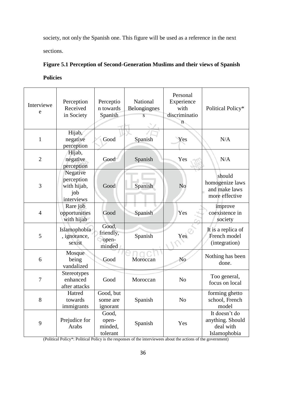society, not only the Spanish one. This figure will be used as a reference in the next sections.

# **Figure 5.1 Perception of Second-Generation Muslims and their views of Spanish**

**Policies**

| Interviewe<br>e | Perception<br>Received<br>in Society                       | Perceptio<br>n towards<br>Spanish     | National<br>Belongingnes<br>S | Personal<br>Experience<br>with<br>discriminatio<br>'n. | Political Policy*                                              |
|-----------------|------------------------------------------------------------|---------------------------------------|-------------------------------|--------------------------------------------------------|----------------------------------------------------------------|
| $\mathbf{1}$    | Hijab,<br>negative<br>perception                           | Good                                  | Spanish                       | Yes                                                    | N/A                                                            |
| $\overline{2}$  | Hijab,<br>negative<br>perception                           | Good                                  | Spanish                       | Yes                                                    | N/A                                                            |
| 3               | Negative<br>perception<br>with hijab,<br>job<br>interviews | Good                                  | Spanish                       | N <sub>o</sub>                                         | should<br>homogenize laws<br>and make laws<br>more effective   |
| $\overline{4}$  | Rare job<br>opportunities<br>with hijab                    | Good                                  | Spanish                       | Yes                                                    | improve<br>coexistence in<br>society                           |
| 5               | Islamophobia<br>, ignorance,<br>sexist                     | Good,<br>friendly,<br>open-<br>minded | Spanish                       | Yes                                                    | It is a replica of<br>French model<br>(integration)            |
| 6               | Mosque<br>being<br>vandalized                              | Good                                  | Moroccan                      | No                                                     | Nothing has been<br>done.                                      |
| $\overline{7}$  | Stereotypes<br>enhanced<br>after attacks                   | Good                                  | Moroccan                      | N <sub>o</sub>                                         | Too general,<br>focus on local                                 |
| 8               | Hatred<br>towards<br>immigrants                            | Good, but<br>some are<br>ignorant     | Spanish                       | N <sub>o</sub>                                         | forming ghetto<br>school, French<br>model                      |
| 9               | Prejudice for<br>Arabs                                     | Good,<br>open-<br>minded,<br>tolerant | Spanish                       | Yes                                                    | It doesn't do<br>anything. Should<br>deal with<br>Islamophobia |

(Political Policy\*: Political Policy is the responses of the interviewees about the actions of the government)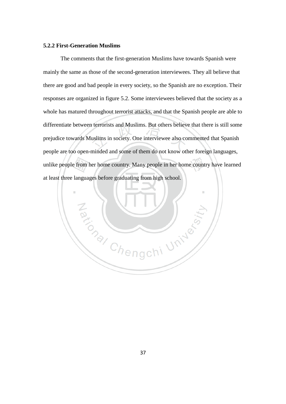## **5.2.2 First-Generation Muslims**

The comments that the first-generation Muslims have towards Spanish were mainly the same as those of the second-generation interviewees. They all believe that there are good and bad people in every society, so the Spanish are no exception. Their responses are organized in figure 5.2. Some interviewees believed that the society as a whole has matured throughout terrorist attacks, and that the Spanish people are able to differentiate between terrorists and Muslims. But others believe that there is still some prejudice towards Muslims in society. One interviewee also commented that Spanish people are too open-minded and some of them do not know other foreign languages, unlike people from her home country. Many people in her home country have learned at least three languages before graduating from high school.

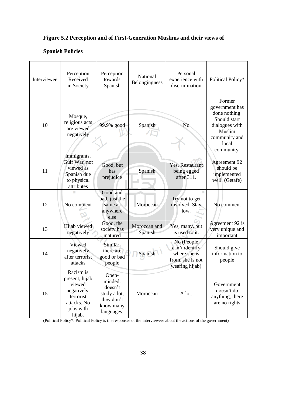# **Figure 5.2 Perception and of First-Generation Muslims and their views of**

# **Spanish Policies**

| Interviewee | Perception<br>Received<br>in Society                                                                    | Perception<br>towards<br>Spanish                                                     | Personal<br>National<br>experience with<br>Belongingness<br>discrimination |                                                                                    | Political Policy*                                                                                                             |
|-------------|---------------------------------------------------------------------------------------------------------|--------------------------------------------------------------------------------------|----------------------------------------------------------------------------|------------------------------------------------------------------------------------|-------------------------------------------------------------------------------------------------------------------------------|
| 10          | Mosque,<br>religious acts<br>are viewed<br>negatively                                                   | 99.9% good                                                                           | Spanish                                                                    | No                                                                                 | Former<br>government has<br>done nothing.<br>Should start<br>dialogues with<br>Muslim<br>community and<br>local<br>community. |
| 11          | immigrants,<br>Gulf War, not<br>viewed as<br>Spanish due<br>to physical<br>attributes                   | Good, but<br>has<br>prejudice                                                        | Spanish                                                                    | Yes. Restaurant<br>being egged<br>after 311.                                       | Agreement 92<br>should be<br>implemented<br>well. (Getafe)                                                                    |
| 12          | No comment                                                                                              | Good and<br>bad, just the<br>same as<br>anywhere<br>else                             | Moroccan                                                                   | Try not to get<br>involved. Stay<br>low.                                           | No comment                                                                                                                    |
| 13          | Hijab viewed<br>negatively                                                                              | Good, the<br>society has<br>matured                                                  | Moroccan and<br>Spanish                                                    | Yes, many, but<br>is used to it.                                                   | Agreement 92 is<br>very unique and<br>important                                                                               |
| 14          | Viewed<br>negatively<br>after terrorist<br>attacks                                                      | Similar,<br>there are<br>good or bad<br>people                                       | Spanish                                                                    | No (People<br>can't identify<br>where she is<br>from, she is not<br>wearing hijab) | Should give<br>information to<br>people                                                                                       |
| 15          | Racism is<br>present, hijab<br>viewed<br>negatively,<br>terrorist<br>attacks. No<br>jobs with<br>hijab. | Open-<br>minded,<br>doesn't<br>study a lot,<br>they don't<br>know many<br>languages. | Moroccan                                                                   | A lot.                                                                             | Government<br>doesn't do<br>anything, there<br>are no rights                                                                  |

(Political Policy\*: Political Policy is the responses of the interviewees about the actions of the government)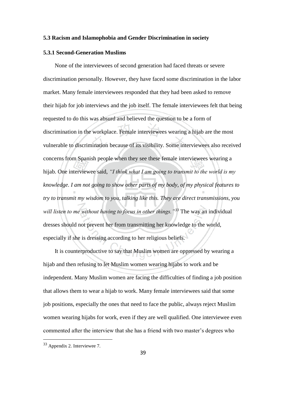#### **5.3 Racism and Islamophobia and Gender Discrimination in society**

### **5.3.1 Second-Generation Muslims**

None of the interviewees of second generation had faced threats or severe discrimination personally. However, they have faced some discrimination in the labor market. Many female interviewees responded that they had been asked to remove their hijab for job interviews and the job itself. The female interviewees felt that being requested to do this was absurd and believed the question to be a form of discrimination in the workplace. Female interviewees wearing a hijab are the most vulnerable to discrimination because of its visibility. Some interviewees also received concerns from Spanish people when they see these female interviewees wearing a hijab. One interviewee said, *"I think what I am going to transmit to the world is my knowledge. I am not going to show other parts of my body, of my physical features to try to transmit my wisdom to you, talking like this. They are direct transmissions, you will listen to me without having to focus in other things."<sup>33</sup>* The way an individual dresses should not prevent her from transmitting her knowledge to the world, especially if she is dressing according to her religious beliefs.

It is counterproductive to say that Muslim women are oppressed by wearing a hijab and then refusing to let Muslim women wearing hijabs to work and be independent. Many Muslim women are facing the difficulties of finding a job position that allows them to wear a hijab to work. Many female interviewees said that some job positions, especially the ones that need to face the public, always reject Muslim women wearing hijabs for work, even if they are well qualified. One interviewee even commented after the interview that she has a friend with two master's degrees who

<sup>33</sup> Appendix 2. Interviewee 7.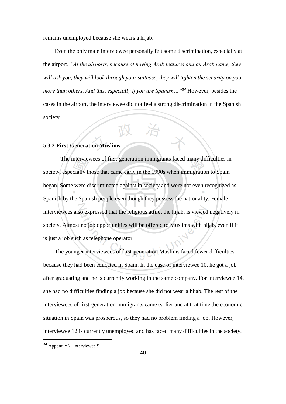remains unemployed because she wears a hijab.

Even the only male interviewee personally felt some discrimination, especially at the airport. *"At the airports, because of having Arab features and an Arab name, they will ask you, they will look through your suitcase, they will tighten the security on you more than others. And this, especially if you are Spanish…"<sup>34</sup>* However, besides the cases in the airport, the interviewee did not feel a strong discrimination in the Spanish society.

## **5.3.2 First-Generation Muslims**

The interviewees of first-generation immigrants faced many difficulties in society, especially those that came early in the 1990s when immigration to Spain began. Some were discriminated against in society and were not even recognized as Spanish by the Spanish people even though they possess the nationality. Female interviewees also expressed that the religious attire, the hijab, is viewed negatively in society. Almost no job opportunities will be offered to Muslims with hijab, even if it is just a job such as telephone operator.

The younger interviewees of first-generation Muslims faced fewer difficulties because they had been educated in Spain. In the case of interviewee 10, he got a job after graduating and he is currently working in the same company. For interviewee 14, she had no difficulties finding a job because she did not wear a hijab. The rest of the interviewees of first-generation immigrants came earlier and at that time the economic situation in Spain was prosperous, so they had no problem finding a job. However, interviewee 12 is currently unemployed and has faced many difficulties in the society.

<sup>34</sup> Appendix 2. Interviewee 9.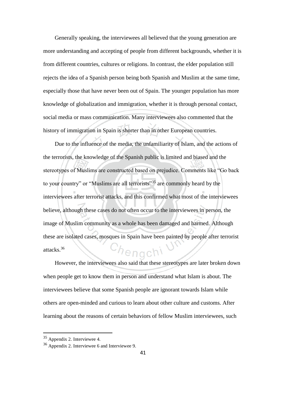Generally speaking, the interviewees all believed that the young generation are more understanding and accepting of people from different backgrounds, whether it is from different countries, cultures or religions. In contrast, the elder population still rejects the idea of a Spanish person being both Spanish and Muslim at the same time, especially those that have never been out of Spain. The younger population has more knowledge of globalization and immigration, whether it is through personal contact, social media or mass communication. Many interviewees also commented that the history of immigration in Spain is shorter than in other European countries.

Due to the influence of the media, the unfamiliarity of Islam, and the actions of the terrorists, the knowledge of the Spanish public is limited and biased and the stereotypes of Muslims are constructed based on prejudice. Comments like "Go back to your country" or "Muslims are all terrorists"<sup>35</sup> are commonly heard by the interviewees after terrorist attacks, and this confirmed what most of the interviewees believe, although these cases do not often occur to the interviewees in person, the image of Muslim community as a whole has been damaged and harmed. Although these are isolated cases, mosques in Spain have been painted by people after terrorist attacks.<sup>36</sup> lenach

However, the interviewees also said that these stereotypes are later broken down when people get to know them in person and understand what Islam is about. The interviewees believe that some Spanish people are ignorant towards Islam while others are open-minded and curious to learn about other culture and customs. After learning about the reasons of certain behaviors of fellow Muslim interviewees, such

<sup>35</sup> Appendix 2. Interviewee 4.

<sup>36</sup> Appendix 2. Interviewee 6 and Interviewee 9.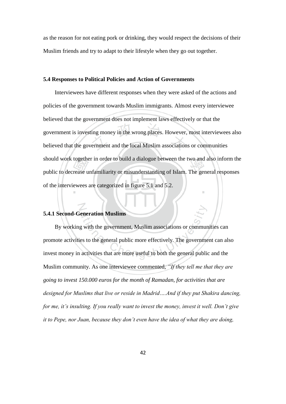as the reason for not eating pork or drinking, they would respect the decisions of their Muslim friends and try to adapt to their lifestyle when they go out together.

#### **5.4 Responses to Political Policies and Action of Governments**

Interviewees have different responses when they were asked of the actions and policies of the government towards Muslim immigrants. Almost every interviewee believed that the government does not implement laws effectively or that the government is investing money in the wrong places. However, most interviewees also believed that the government and the local Muslim associations or communities should work together in order to build a dialogue between the two and also inform the public to decrease unfamiliarity or misunderstanding of Islam. The general responses of the interviewees are categorized in figure 5.1 and 5.2.

## **5.4.1 Second-Generation Muslims**

By working with the government, Muslim associations or communities can promote activities to the general public more effectively. The government can also invest money in activities that are more useful to both the general public and the Muslim community. As one interviewee commented, *"If they tell me that they are going to invest 150.000 euros for the month of Ramadan, for activities that are designed for Muslims that live or reside in Madrid….And if they put Shakira dancing, for me, it's insulting. If you really want to invest the money, invest it well. Don't give it to Pepe, nor Juan, because they don't even have the idea of what they are doing,*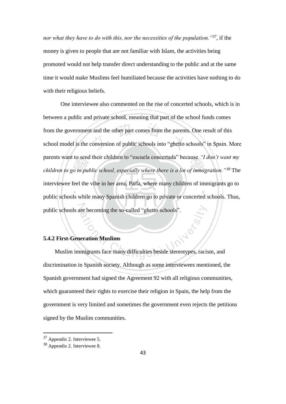*nor what they have to do with this, nor the necessities of the population."<sup>37</sup>*, if the money is given to people that are not familiar with Islam, the activities being promoted would not help transfer direct understanding to the public and at the same time it would make Muslims feel humiliated because the activities have nothing to do with their religious beliefs.

One interviewee also commented on the rise of concerted schools, which is in between a public and private school, meaning that part of the school funds comes from the government and the other part comes from the parents. One result of this school model is the conversion of public schools into "ghetto schools" in Spain. More parents want to send their children to "escuela concertada" because *"I don't want my children to go to public school, especially where there is a lot of immigration."<sup>38</sup>* The interviewee feel the vibe in her area, Parla, where many children of immigrants go to public schools while many Spanish children go to private or concerted schools. Thus, public schools are becoming the so-called "ghetto schools".

## **5.4.2 First-Generation Muslims**

Muslim immigrants face many difficulties beside stereotypes, racism, and discrimination in Spanish society. Although as some interviewees mentioned, the Spanish government had signed the Agreement 92 with all religious communities, which guaranteed their rights to exercise their religion in Spain, the help from the government is very limited and sometimes the government even rejects the petitions signed by the Muslim communities.

<sup>37</sup> Appendix 2. Interviewee 5.

<sup>38</sup> Appendix 2. Interviewee 8.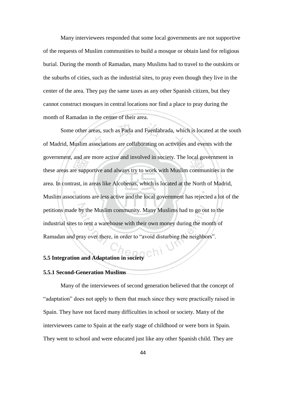Many interviewees responded that some local governments are not supportive of the requests of Muslim communities to build a mosque or obtain land for religious burial. During the month of Ramadan, many Muslims had to travel to the outskirts or the suburbs of cities, such as the industrial sites, to pray even though they live in the center of the area. They pay the same taxes as any other Spanish citizen, but they cannot construct mosques in central locations nor find a place to pray during the month of Ramadan in the center of their area.

Some other areas, such as Parla and Fuenlabrada, which is located at the south of Madrid, Muslim associations are collaborating on activities and events with the government, and are more active and involved in society. The local government in these areas are supportive and always try to work with Muslim communities in the area. In contrast, in areas like Alcobenas, which is located at the North of Madrid, Muslim associations are less active and the local government has rejected a lot of the petitions made by the Muslim community. Many Muslims had to go out to the industrial sites to rent a warehouse with their own money during the month of Ramadan and pray over there, in order to "avoid disturbing the neighbors".

## **5.5 Integration and Adaptation in society**

## **5.5.1 Second-Generation Muslims**

Many of the interviewees of second generation believed that the concept of "adaptation" does not apply to them that much since they were practically raised in Spain. They have not faced many difficulties in school or society. Many of the interviewees came to Spain at the early stage of childhood or were born in Spain. They went to school and were educated just like any other Spanish child. They are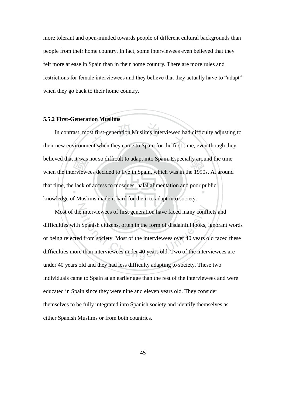more tolerant and open-minded towards people of different cultural backgrounds than people from their home country. In fact, some interviewees even believed that they felt more at ease in Spain than in their home country. There are more rules and restrictions for female interviewees and they believe that they actually have to "adapt" when they go back to their home country.

## **5.5.2 First-Generation Muslims**

In contrast, most first-generation Muslims interviewed had difficulty adjusting to their new environment when they came to Spain for the first time, even though they believed that it was not so difficult to adapt into Spain. Especially around the time when the interviewees decided to live in Spain, which was in the 1990s. At around that time, the lack of access to mosques, halal alimentation and poor public knowledge of Muslims made it hard for them to adapt into society.

Most of the interviewees of first generation have faced many conflicts and difficulties with Spanish citizens, often in the form of disdainful looks, ignorant words or being rejected from society. Most of the interviewees over 40 years old faced these difficulties more than interviewees under 40 years old. Two of the interviewees are under 40 years old and they had less difficulty adapting to society. These two individuals came to Spain at an earlier age than the rest of the interviewees and were educated in Spain since they were nine and eleven years old. They consider themselves to be fully integrated into Spanish society and identify themselves as either Spanish Muslims or from both countries.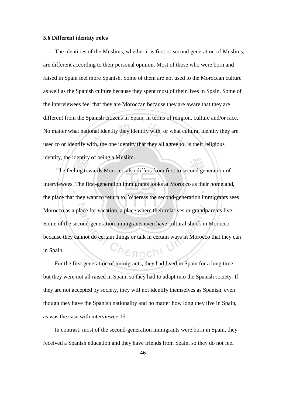#### **5.6 Different identity roles**

The identities of the Muslims, whether it is first or second generation of Muslims, are different according to their personal opinion. Most of those who were born and raised in Spain feel more Spanish. Some of them are not used to the Moroccan culture as well as the Spanish culture because they spent most of their lives in Spain. Some of the interviewees feel that they are Moroccan because they are aware that they are different from the Spanish citizens in Spain, in terms of religion, culture and/or race. No matter what national identity they identify with, or what cultural identity they are used to or identify with, the one identity that they all agree to, is their religious identity, the identity of being a Muslim.

The feeling towards Morocco also differs from first to second generation of interviewees. The first-generation immigrants looks at Morocco as their homeland, the place that they want to return to. Whereas the second-generation immigrants sees Morocco as a place for vacation, a place where their relatives or grandparents live. Some of the second-generation immigrants even have cultural shock in Morocco because they cannot do certain things or talk in certain ways in Morocco that they can engch? in Spain.

For the first generation of immigrants, they had lived in Spain for a long time, but they were not all raised in Spain, so they had to adapt into the Spanish society. If they are not accepted by society, they will not identify themselves as Spanish, even though they have the Spanish nationality and no matter how long they live in Spain, as was the case with interviewee 15.

In contrast, most of the second-generation immigrants were born in Spain, they received a Spanish education and they have friends from Spain, so they do not feel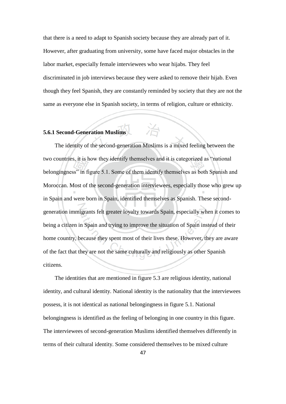that there is a need to adapt to Spanish society because they are already part of it. However, after graduating from university, some have faced major obstacles in the labor market, especially female interviewees who wear hijabs. They feel discriminated in job interviews because they were asked to remove their hijab. Even though they feel Spanish, they are constantly reminded by society that they are not the same as everyone else in Spanish society, in terms of religion, culture or ethnicity.

治

# **5.6.1 Second-Generation Muslims**

The identity of the second-generation Muslims is a mixed feeling between the two countries, it is how they identify themselves and it is categorized as "national belongingness" in figure 5.1. Some of them identify themselves as both Spanish and Moroccan. Most of the second-generation interviewees, especially those who grew up in Spain and were born in Spain, identified themselves as Spanish. These secondgeneration immigrants felt greater loyalty towards Spain, especially when it comes to being a citizen in Spain and trying to improve the situation of Spain instead of their home country, because they spent most of their lives these. However, they are aware of the fact that they are not the same culturally and religiously as other Spanish citizens.

The identities that are mentioned in figure 5.3 are religious identity, national identity, and cultural identity. National identity is the nationality that the interviewees possess, it is not identical as national belongingness in figure 5.1. National belongingness is identified as the feeling of belonging in one country in this figure. The interviewees of second-generation Muslims identified themselves differently in terms of their cultural identity. Some considered themselves to be mixed culture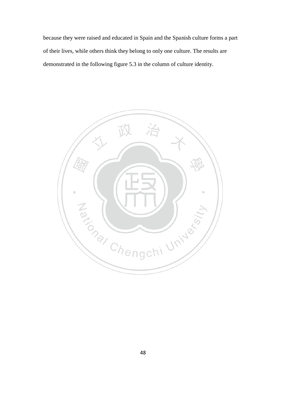because they were raised and educated in Spain and the Spanish culture forms a part of their lives, while others think they belong to only one culture. The results are demonstrated in the following figure 5.3 in the column of culture identity.

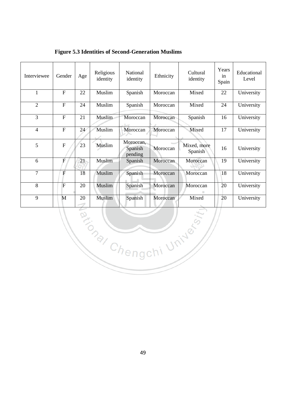| Interviewee            | Gender         | Age | Religious<br>identity | National<br>identity            | Ethnicity | Cultural<br>identity   | Years<br>in<br>Spain | Educational<br>Level |  |
|------------------------|----------------|-----|-----------------------|---------------------------------|-----------|------------------------|----------------------|----------------------|--|
| $\mathbf{1}$           | $\overline{F}$ | 22  | Muslim                | Spanish                         | Moroccan  | Mixed                  | 22                   | University           |  |
| $\overline{2}$         | $\overline{F}$ | 24  | Muslim                | Spanish                         | Moroccan  | Mixed                  | 24                   | University           |  |
| $\overline{3}$         | $\overline{F}$ | 21  | Muslim                | Moroccan                        | Moroccan  | Spanish                | 16                   | University           |  |
| $\overline{4}$         | $\overline{F}$ | 24  | Muslim                | Moroccan                        | Moroccan  | Mixed                  | $\overline{17}$      | University           |  |
| 5                      | ${\bf F}$      | 23  | Muslim                | Moroccan,<br>Spanish<br>pending | Moroccan  | Mixed, more<br>Spanish | 16                   | University           |  |
| 6                      | F              | 21  | Muslim                | Spanish                         | Moroccan  | Moroccan               | 19                   | University           |  |
| $\overline{7}$         | $\overline{F}$ | 18  | Muslim                | Spanish                         | Moroccan  | Moroccan               | 18                   | University           |  |
| 8                      | $\overline{F}$ | 20  | Muslim                | Spanish                         | Moroccan  | Moroccan               | 20                   | University           |  |
| 9                      | M              | 20  | Muslim                | Spanish                         | Moroccan  | Mixed                  | 20                   | University           |  |
| R. Chengchi University |                |     |                       |                                 |           |                        |                      |                      |  |

**Figure 5.3 Identities of Second-Generation Muslims**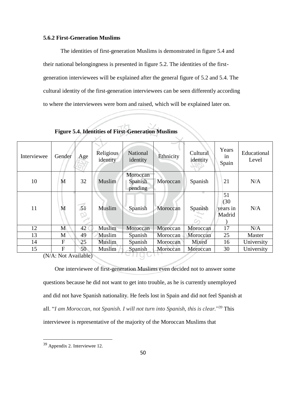### **5.6.2 First-Generation Muslims**

The identities of first-generation Muslims is demonstrated in figure 5.4 and their national belongingness is presented in figure 5.2. The identities of the firstgeneration interviewees will be explained after the general figure of 5.2 and 5.4. The cultural identity of the first-generation interviewees can be seen differently according to where the interviewees were born and raised, which will be explained later on.

| Interviewee | Gender         | Age | Religious<br>identity | National<br>identity           | Ethnicity | Cultural<br>identity | Years<br>in<br>Spain             | Educational<br>Level |
|-------------|----------------|-----|-----------------------|--------------------------------|-----------|----------------------|----------------------------------|----------------------|
| 10          | M              | 32  | Muslim                | Moroccan<br>Spanish<br>pending | Moroccan  | Spanish              | 21                               | N/A                  |
| 11          | M              | 51  | Muslim                | Spanish                        | Moroccan  | Spanish              | 51<br>(30)<br>years in<br>Madrid | N/A                  |
| 12          | M              | 42  | Muslim                | Moroccan                       | Moroccan  | Moroccan             | 17                               | N/A                  |
| 13          | M              | 49  | Muslim                | Spanish                        | Moroccan  | Moroccan             | 25                               | Master               |
| 14          | $\overline{F}$ | 25  | Muslim                | Spanish                        | Moroccan  | Mixed                | 16                               | University           |
| 15          | $\mathbf{F}$   | 50  | Muslim                | Spanish                        | Moroccan  | Moroccan             | 30                               | University           |

**Figure 5.4. Identities of First-Generation Muslims**

 $\checkmark$ 

(N/A: Not Available)

One interviewee of first-generation Muslims even decided not to answer some questions because he did not want to get into trouble, as he is currently unemployed and did not have Spanish nationality. He feels lost in Spain and did not feel Spanish at all. "*I am Moroccan, not Spanish. I will not turn into Spanish, this is clear.*" <sup>39</sup> This interviewee is representative of the majority of the Moroccan Muslims that

<sup>39</sup> Appendix 2. Interviewee 12.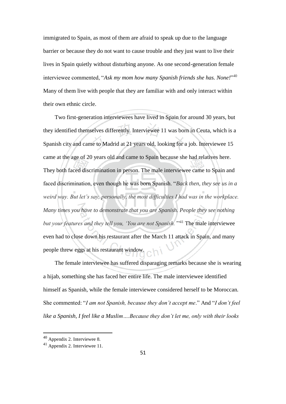immigrated to Spain, as most of them are afraid to speak up due to the language barrier or because they do not want to cause trouble and they just want to live their lives in Spain quietly without disturbing anyone. As one second-generation female interviewee commented, "*Ask my mom how many Spanish friends she has. None!*" 40 Many of them live with people that they are familiar with and only interact within their own ethnic circle.

Two first-generation interviewees have lived in Spain for around 30 years, but they identified themselves differently. Interviewee 11 was born in Ceuta, which is a Spanish city and came to Madrid at 21 years old, looking for a job. Interviewee 15 came at the age of 20 years old and came to Spain because she had relatives here. They both faced discrimination in person. The male interviewee came to Spain and faced discrimination, even though he was born Spanish. "*Back then, they see us in a weird way. But let's say, personally, the most difficulties I had was in the workplace. Many times you have to demonstrate that you are Spanish. People they see nothing*  but your features and they tell you, *'You are not Spanish*.'<sup>"41</sup> The male interviewee even had to close down his restaurant after the March 11 attack in Spain, and many people threw eggs at his restaurant window.

The female interviewee has suffered disparaging remarks because she is wearing a hijab, something she has faced her entire life. The male interviewee identified himself as Spanish, while the female interviewee considered herself to be Moroccan. She commented: "*I am not Spanish, because they don't accept me*." And "*I don't feel like a Spanish, I feel like a Muslim….Because they don't let me, only with their looks* 

<sup>40</sup> Appendix 2. Interviewee 8.

<sup>41</sup> Appendix 2. Interviewee 11.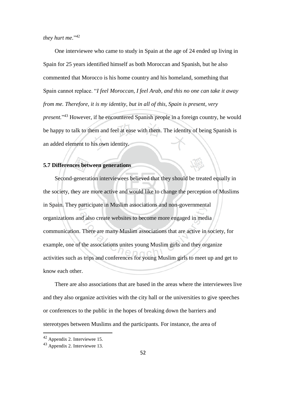they hurt me."<sup>42</sup>

One interviewee who came to study in Spain at the age of 24 ended up living in Spain for 25 years identified himself as both Moroccan and Spanish, but he also commented that Morocco is his home country and his homeland, something that Spain cannot replace. "*I feel Moroccan, I feel Arab, and this no one can take it away from me. Therefore, it is my identity, but in all of this, Spain is present, very present.*" <sup>43</sup> However, if he encountered Spanish people in a foreign country, he would be happy to talk to them and feel at ease with them. The identity of being Spanish is an added element to his own identity.

## **5.7 Differences between generations**

Second-generation interviewees believed that they should be treated equally in the society, they are more active and would like to change the perception of Muslims in Spain. They participate in Muslim associations and non-governmental organizations and also create websites to become more engaged in media communication. There are many Muslim associations that are active in society, for example, one of the associations unites young Muslim girls and they organize activities such as trips and conferences for young Muslim girls to meet up and get to know each other.

There are also associations that are based in the areas where the interviewees live and they also organize activities with the city hall or the universities to give speeches or conferences to the public in the hopes of breaking down the barriers and stereotypes between Muslims and the participants. For instance, the area of

 $42$  Appendix 2. Interviewee 15.

<sup>43</sup> Appendix 2. Interviewee 13.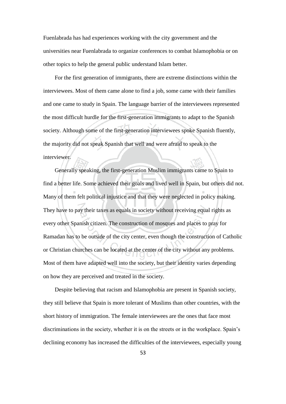Fuenlabrada has had experiences working with the city government and the universities near Fuenlabrada to organize conferences to combat Islamophobia or on other topics to help the general public understand Islam better.

For the first generation of immigrants, there are extreme distinctions within the interviewees. Most of them came alone to find a job, some came with their families and one came to study in Spain. The language barrier of the interviewees represented the most difficult hurdle for the first-generation immigrants to adapt to the Spanish society. Although some of the first-generation interviewees spoke Spanish fluently, the majority did not speak Spanish that well and were afraid to speak to the interviewer.

Generally speaking, the first-generation Muslim immigrants came to Spain to find a better life. Some achieved their goals and lived well in Spain, but others did not. Many of them felt political injustice and that they were neglected in policy making. They have to pay their taxes as equals in society without receiving equal rights as every other Spanish citizen. The construction of mosques and places to pray for Ramadan has to be outside of the city center, even though the construction of Catholic or Christian churches can be located at the center of the city without any problems. Most of them have adapted well into the society, but their identity varies depending on how they are perceived and treated in the society.

Despite believing that racism and Islamophobia are present in Spanish society, they still believe that Spain is more tolerant of Muslims than other countries, with the short history of immigration. The female interviewees are the ones that face most discriminations in the society, whether it is on the streets or in the workplace. Spain's declining economy has increased the difficulties of the interviewees, especially young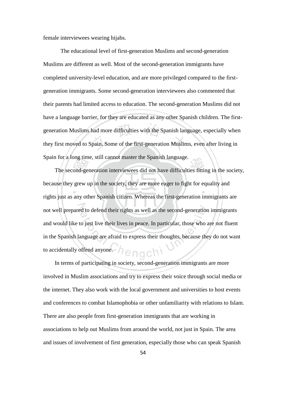female interviewees wearing hijabs.

The educational level of first-generation Muslims and second-generation Muslims are different as well. Most of the second-generation immigrants have completed university-level education, and are more privileged compared to the firstgeneration immigrants. Some second-generation interviewees also commented that their parents had limited access to education. The second-generation Muslims did not have a language barrier, for they are educated as any other Spanish children. The firstgeneration Muslims had more difficulties with the Spanish language, especially when they first moved to Spain. Some of the first-generation Muslims, even after living in Spain for a long time, still cannot master the Spanish language.

The second-generation interviewees did not have difficulties fitting in the society, because they grew up in the society, they are more eager to fight for equality and rights just as any other Spanish citizen. Whereas the first-generation immigrants are not well prepared to defend their rights as well as the second-generation immigrants and would like to just live their lives in peace. In particular, those who are not fluent in the Spanish language are afraid to express their thoughts, because they do not want to accidentally offend anyone. enac

In terms of participating in society, second-generation immigrants are more involved in Muslim associations and try to express their voice through social media or the internet. They also work with the local government and universities to host events and conferences to combat Islamophobia or other unfamiliarity with relations to Islam. There are also people from first-generation immigrants that are working in associations to help out Muslims from around the world, not just in Spain. The area and issues of involvement of first generation, especially those who can speak Spanish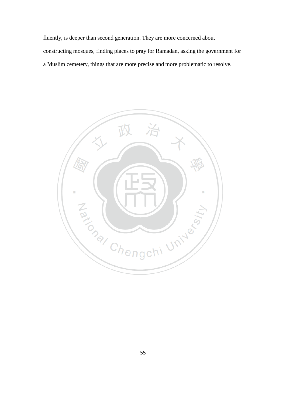fluently, is deeper than second generation. They are more concerned about constructing mosques, finding places to pray for Ramadan, asking the government for a Muslim cemetery, things that are more precise and more problematic to resolve.

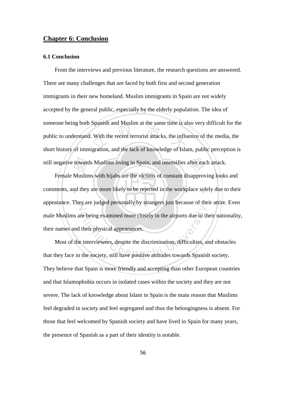## **Chapter 6: Conclusion**

#### **6.1 Conclusion**

From the interviews and previous literature, the research questions are answered. There are many challenges that are faced by both first and second generation immigrants in their new homeland. Muslim immigrants in Spain are not widely accepted by the general public, especially by the elderly population. The idea of someone being both Spanish and Muslim at the same time is also very difficult for the public to understand. With the recent terrorist attacks, the influence of the media, the short history of immigration, and the lack of knowledge of Islam, public perception is still negative towards Muslims living in Spain, and intensifies after each attack.

Female Muslims with hijabs are the victims of constant disapproving looks and comments, and they are more likely to be rejected in the workplace solely due to their appearance. They are judged personally by strangers just because of their attire. Even male Muslims are being examined more closely in the airports due to their nationality, their names and their physical appearances.

Most of the interviewees, despite the discrimination, difficulties, and obstacles that they face in the society, still have positive attitudes towards Spanish society. They believe that Spain is more friendly and accepting than other European countries and that Islamophobia occurs in isolated cases within the society and they are not severe. The lack of knowledge about Islam in Spain is the main reason that Muslims feel degraded in society and feel segregated and thus the belongingness is absent. For those that feel welcomed by Spanish society and have lived in Spain for many years, the presence of Spanish as a part of their identity is notable.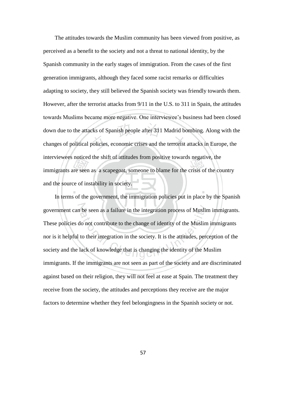The attitudes towards the Muslim community has been viewed from positive, as perceived as a benefit to the society and not a threat to national identity, by the Spanish community in the early stages of immigration. From the cases of the first generation immigrants, although they faced some racist remarks or difficulties adapting to society, they still believed the Spanish society was friendly towards them. However, after the terrorist attacks from 9/11 in the U.S. to 311 in Spain, the attitudes towards Muslims became more negative. One interviewee's business had been closed down due to the attacks of Spanish people after 311 Madrid bombing. Along with the changes of political policies, economic crises and the terrorist attacks in Europe, the interviewees noticed the shift of attitudes from positive towards negative, the immigrants are seen as a scapegoat, someone to blame for the crisis of the country and the source of instability in society.

In terms of the government, the immigration policies put in place by the Spanish government can be seen as a failure in the integration process of Muslim immigrants. These policies do not contribute to the change of identity of the Muslim immigrants nor is it helpful to their integration in the society. It is the attitudes, perception of the society and the lack of knowledge that is changing the identity of the Muslim immigrants. If the immigrants are not seen as part of the society and are discriminated against based on their religion, they will not feel at ease at Spain. The treatment they receive from the society, the attitudes and perceptions they receive are the major factors to determine whether they feel belongingness in the Spanish society or not.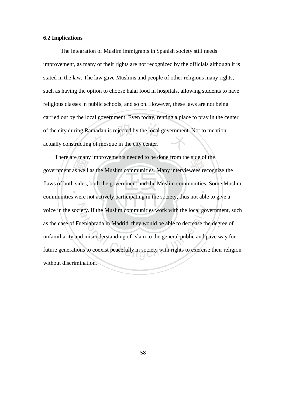## **6.2 Implications**

The integration of Muslim immigrants in Spanish society still needs improvement, as many of their rights are not recognized by the officials although it is stated in the law. The law gave Muslims and people of other religions many rights, such as having the option to choose halal food in hospitals, allowing students to have religious classes in public schools, and so on. However, these laws are not being carried out by the local government. Even today, renting a place to pray in the center of the city during Ramadan is rejected by the local government. Not to mention actually constructing of mosque in the city center.

There are many improvements needed to be done from the side of the government as well as the Muslim communities. Many interviewees recognize the flaws of both sides, both the government and the Muslim communities. Some Muslim communities were not actively participating in the society, thus not able to give a voice in the society. If the Muslim communities work with the local government, such as the case of Fuenlabrada in Madrid, they would be able to decrease the degree of unfamiliarity and misunderstanding of Islam to the general public and pave way for future generations to coexist peacefully in society with rights to exercise their religion without discrimination.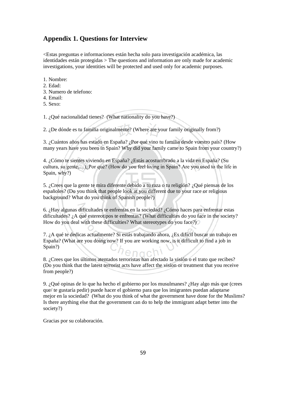## **Appendix 1. Questions for Interview**

<Estas preguntas e informaciones están hecha solo para investigación académica, las identidades están protegidas > The questions and information are only made for academic investigations, your identities will be protected and used only for academic purposes.

1. Nombre:

- 2. Edad:
- 3. Numero de telefono:
- 4. Email:
- 5. Sexo:

1. ¿Qué nacionalidad tienes? (What nationality do you have?)

2. ¿De dónde es tu familia originalmente? (Where are your family originally from?)

3. ¿Cuántos años has estado en España? ¿Por qué vino tu familia desde vuestro país? (How many years have you been in Spain? Why did your family came to Spain from your country?)

4. ¿Cómo te sientes viviendo en España? ¿Estás acostumbrado a la vida en España? (Su cultura, su gente,…)¿Por qué? (How do you feel living in Spain? Are you used to the life in Spain, why?)

5. ¿Crees que la gente te mira diferente debido a tu raza o tu religión? ¿Qué piensas de los españoles? (Do you think that people look at you different due to your race or religious background? What do you think of Spanish people?)

6. ¿Hay algunas dificultades te enfrentas en la sociedad? ¿Cómo haces para enfrentar estas dificultades? ¿A qué estereotipos te enfrentas? (What difficulties do you face in the society? How do you deal with these difficulties? What stereotypes do you face?)

7. ¿A qué te dedicas actualmente? Si estás trabajando ahora, ¿Es difícil buscar un trabajo en España? (What are you doing now? If you are working now, is it difficult to find a job in Spain?) enach

8. ¿Crees que los últimos atentados terroristas han afectado la visión o el trato que recibes? (Do you think that the latest terrorist acts have affect the vision or treatment that you receive from people?)

9. ¿Qué opinas de lo que ha hecho el gobierno por los musulmanes? ¿Hay algo más que (crees que/ te gustaría pedir) puede hacer el gobierno para que los imigrantes puedan adaptarse mejor en la sociedad? (What do you think of what the government have done for the Muslims? Is there anything else that the government can do to help the immigrant adapt better into the society?)

Gracias por su colaboración.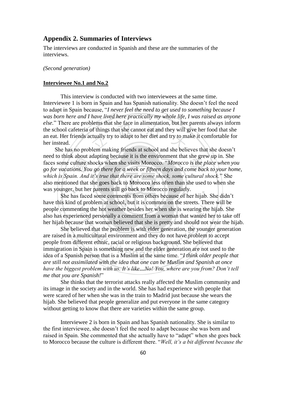## **Appendix 2. Summaries of Interviews**

The interviews are conducted in Spanish and these are the summaries of the interviews.

#### *(Second generation)*

#### **Interviewee No.1 and No.2**

This interview is conducted with two interviewees at the same time. Interviewee 1 is born in Spain and has Spanish nationality. She doesn't feel the need to adapt in Spain because, "*I never feel the need to get used to something because I was born here and I have lived here practically my whole life, I was raised as anyone else.*" There are problems that she face in alimentation, but her parents always inform the school cafeteria of things that she cannot eat and they will give her food that she an eat. Her friends actually try to adapt to her diet and try to make it comfortable for her instead.

She has no problem making friends at school and she believes that she doesn't need to think about adapting because it is the environment that she grew up in. She faces some culture shocks when she visits Morocco. "*Morocco is the place when you go for vacations. You go there for a week or fifteen days and come back to your home, which is Spain. And it's true that there are some shock, some cultural shock.*" She also mentioned that she goes back to Morocco less often than she used to when she was younger, but her parents still go back to Morocco regularly.

She has faced some comments from others because of her hijab. She didn't have this kind of problem at school, but it is common on the streets. There will be people commenting the hot weather besides her when she is wearing the hijab. She also has experienced personally a comment from a woman that wanted her to take off her hijab because that woman believed that she is pretty and should not wear the hijab.

She believed that the problem is with elder generation, the younger generation are raised in a multicultural environment and they do not have problem to accept people from different ethnic, racial or religious background. She believed that immigration in Spain is something new and the elder generation are not used to the idea of a Spanish person that is a Muslim at the same time. "*I think older people that are still not assimilated with the idea that one can be Muslim and Spanish at once have the biggest problem with us. It's like…No! You, where are you from? Don't tell me that you are Spanish!*"

She thinks that the terrorist attacks really affected the Muslim community and its image in the society and in the world. She has had experience with people that were scared of her when she was in the train to Madrid just because she wears the hijab. She believed that people generalize and put everyone in the same category without getting to know that there are varieties within the same group.

Interviewee 2 is born in Spain and has Spanish nationality. She is similar to the first interviewee, she doesn't feel the need to adapt because she was born and raised in Spain. She commented that she actually have to "adapt" when she goes back to Morocco because the culture is different there. "*Well, it's a bit different because the*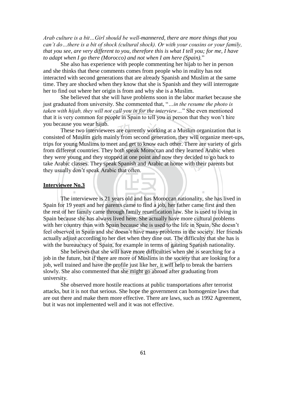*Arab culture is a bit…Girl should be well-mannered, there are more things that you can't do…there is a bit of shock (cultural shock). Or with your cousins or your family, that you see, are very different to you, therefore this is what I tell you; for me, I have to adapt when I go there (Morocco) and not when I am here (Spain).*"

She also has experience with people commenting her hijab to her in person and she thinks that these comments comes from people who in reality has not interacted with second generations that are already Spanish and Muslim at the same time. They are shocked when they know that she is Spanish and they will interrogate her to find out where her origin is from and why she is a Muslim.

She believed that she will have problems soon in the labor market because she just graduated from university. She commented that, "*…in the resume the photo is taken with hijab, they will not call you in for the interview…*" She even mentioned that it is very common for people in Spain to tell you in person that they won't hire you because you wear hijab.

These two interviewees are currently working at a Muslim organization that is consisted of Muslim girls mainly from second generation, they will organize meet-ups, trips for young Muslims to meet and get to know each other. There are variety of girls from different countries. They both speak Moroccan and they learned Arabic when they were young and they stopped at one point and now they decided to go back to take Arabic classes. They speak Spanish and Arabic at home with their parents but they usually don't speak Arabic that often.

#### **Interviewee No.3**

The interviewee is 21 years old and has Moroccan nationality, she has lived in Spain for 19 years and her parents came to find a job, her father came first and then the rest of her family came through family reunification law. She is used to living in Spain because she has always lived here. She actually have more cultural problems with her country than with Spain because she is used to the life in Spain. She doesn't feel observed in Spain and she doesn't have many problems in the society. Her friends actually adjust according to her diet when they dine out. The difficulty that she has is with the bureaucracy of Spain, for example in terms of gaining Spanish nationality.

She believes that she will have more difficulties when she is searching for a job in the future, but if there are more of Muslims in the society that are looking for a job, well trained and have the profile just like her, it will help to break the barriers slowly. She also commented that she might go abroad after graduating from university.

She observed more hostile reactions at public transportations after terrorist attacks, but it is not that serious. She hope the government can homogenize laws that are out there and make them more effective. There are laws, such as 1992 Agreement, but it was not implemented well and it was not effective.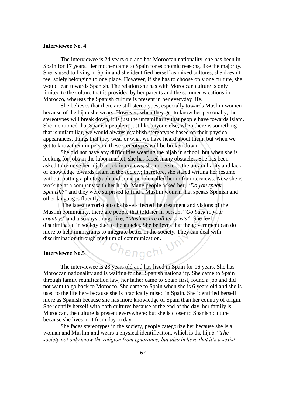#### **Interviewee No. 4**

The interviewee is 24 years old and has Moroccan nationality, she has been in Spain for 17 years. Her mother came to Spain for economic reasons, like the majority. She is used to living in Spain and she identified herself as mixed cultures, she doesn't feel solely belonging to one place. However, if she has to choose only one culture, she would lean towards Spanish. The relation she has with Moroccan culture is only limited to the culture that is provided by her parents and the summer vacations in Morocco, whereas the Spanish culture is present in her everyday life.

She believes that there are still stereotypes, especially towards Muslim women because of the hijab she wears. However, when they get to know her personally, the stereotypes will break down, it is just the unfamiliarity that people have towards Islam. She mentioned that Spanish people is just like anyone else, when there is something that is unfamiliar, we would always establish stereotypes based on their physical appearances, things that they wear or what we have heard about them, but when we get to know them in person, these stereotypes will be broken down.

She did not have any difficulties wearing the hijab in school, but when she is looking for jobs in the labor market, she has faced many obstacles. She has been asked to remove her hijab in job interviews, she understood the unfamiliarity and lack of knowledge towards Islam in the society; therefore, she stared writing her resume without putting a photograph and some people called her in for interviews. Now she is working at a company with her hijab. Many people asked her, "*Do you speak Spanish?*" and they were surprised to find a Muslim woman that speaks Spanish and other languages fluently.

The latest terrorist attacks have affected the treatment and visions of the Muslim community, there are people that told her in person, "*Go back to your country!*" and also says things like, "*Muslims are all terrorists!*" She feel discriminated in society due to the attacks. She believes that the government can do more to help immigrants to integrate better in the society. They can deal with discrimination through medium of communication.

Chengchi V

#### **Interviewee No.5**

The interviewee is 23 years old and has lived in Spain for 16 years. She has Moroccan nationality and is waiting for her Spanish nationality. She came to Spain through family reunification law, her father came to Spain first, found a job and did not want to go back to Morocco. She came to Spain when she is 6 years old and she is used to the life here because she is practically raised in Spain. She identified herself more as Spanish because she has more knowledge of Spain than her country of origin. She identify herself with both cultures because at the end of the day, her family is Moroccan, the culture is present everywhere; but she is closer to Spanish culture because she lives in it from day to day.

She faces stereotypes in the society, people categorize her because she is a woman and Muslim and wears a physical identification, which is the hijab. "*The society not only know the religion from ignorance, but also believe that it's a sexist*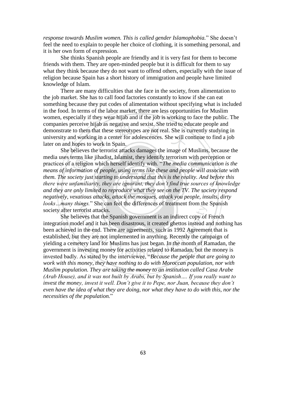*response towards Muslim women. This is called gender Islamophobia.*" She doesn't feel the need to explain to people her choice of clothing, it is something personal, and it is her own form of expression.

She thinks Spanish people are friendly and it is very fast for them to become friends with them. They are open-minded people but it is difficult for them to say what they think because they do not want to offend others, especially with the issue of religion because Spain has a short history of immigration and people have limited knowledge of Islam.

There are many difficulties that she face in the society, from alimentation to the job market. She has to call food factories constantly to know if she can eat something because they put codes of alimentation without specifying what is included in the food. In terms of the labor market, there are less opportunities for Muslim women, especially if they wear hijab and if the job is working to face the public. The companies perceive hijab as negative and sexist. She tried to educate people and demonstrate to them that these stereotypes are not real. She is currently studying in university and working in a center for adolescences. She will continue to find a job later on and hopes to work in Spain.

She believes the terrorist attacks damages the image of Muslims, because the media uses terms like jihadist, Islamist, they identify terrorism with perception or practices of a religion which herself identify with. "*The media communication is the means of information of people, using terms like these and people will associate with them. The society just starting to understand that this is the reality. And before this there were unfamiliarity, they are ignorant, they don't find true sources of knowledge and they are only limited to reproduce what they see on the TV. The society respond negatively, vexatious attacks, attack the mosques, attack you people, insults, dirty looks…many things.*" She can feel the differences of treatment from the Spanish society after terrorist attacks.

She believes that the Spanish government is an indirect copy of French integration model and it has been disastrous, it created ghettos instead and nothing has been achieved in the end. There are agreements, such as 1992 Agreement that is established, but they are not implemented in anything. Recently the campaign of yielding a cemetery land for Muslims has just began. In the month of Ramadan, the government is investing money for activities related to Ramadan, but the money is invested badly. As stated by the interviewee, "*Because the people that are going to work with this money, they have nothing to do with Moroccan population, nor with Muslim population. They are taking the money to an institution called Casa Arabe (Arab House), and it was not built by Arabs, but by Spanish…. If you really want to invest the money, invest it well. Don't give it to Pepe, nor Juan, because they don't even have the idea of what they are doing, nor what they have to do with this, nor the necessities of the population.*"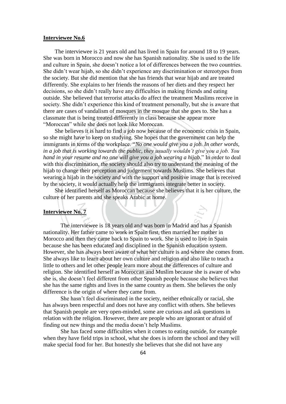#### **Interviewee No.6**

The interviewee is 21 years old and has lived in Spain for around 18 to 19 years. She was born in Morocco and now she has Spanish nationality. She is used to the life and culture in Spain, she doesn't notice a lot of differences between the two countries. She didn't wear hijab, so she didn't experience any discrimination or stereotypes from the society. But she did mention that she has friends that wear hijab and are treated differently. She explains to her friends the reasons of her diets and they respect her decisions, so she didn't really have any difficulties in making friends and eating outside. She believed that terrorist attacks do affect the treatment Muslims receive in society. She didn't experience this kind of treatment personally, but she is aware that there are cases of vandalism of mosques in the mosque that she goes to. She has a classmate that is being treated differently in class because she appear more "Moroccan" while she does not look like Moroccan.

She believes it is hard to find a job now because of the economic crisis in Spain, so she might have to keep on studying. She hopes that the government can help the immigrants in terms of the workplace. "*No one would give you a job. In other words, in a job that is working towards the public, they usually wouldn't give you a job. You hand in your resume and no one will give you a job wearing a hijab*." In order to deal with this discrimination, the society should also try to understand the meaning of the hijab to change their perception and judgement towards Muslims. She believes that wearing a hijab in the society and with the support and positive image that is received by the society, it would actually help the immigrants integrate better in society.

She identified herself as Moroccan because she believes that it is her culture, the culture of her parents and she speaks Arabic at home.

#### **Interviewee No. 7**

The interviewee is 18 years old and was born in Madrid and has a Spanish nationality. Her father came to work in Spain first, then married her mother in Morocco and then they came back to Spain to work. She is used to live in Spain because she has been educated and disciplined in the Spanish education system. However, she has always been aware of what her culture is and where she comes from. She always like to learn about her own culture and religion and also like to teach a little to others and let other people learn more about the differences of culture and religion. She identified herself as Moroccan and Muslim because she is aware of who she is, she doesn't feel different from other Spanish people because she believes that she has the same rights and lives in the same country as them. She believes the only difference is the origin of where they came from.

She hasn't feel discriminated in the society, neither ethnically or racial, she has always been respectful and does not have any conflict with others. She believes that Spanish people are very open-minded, some are curious and ask questions in relation with the religion. However, there are people who are ignorant or afraid of finding out new things and the media doesn't help Muslims.

She has faced some difficulties when it comes to eating outside, for example when they have field trips in school, what she does is inform the school and they will make special food for her. But honestly she believes that she did not have any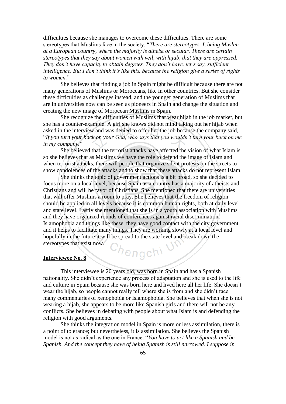difficulties because she manages to overcome these difficulties. There are some stereotypes that Muslims face in the society. "*There are stereotypes. I, being Muslim at a European country, where the majority is atheist or secular. There are certain stereotypes that they say about women with veil, with hijab, that they are oppressed. They don't have capacity to obtain degrees. They don't have, let's say, sufficient intelligence. But I don't think it's like this, because the religion give a series of rights to women.*"

She believes that finding a job in Spain might be difficult because there are not many generations of Muslims or Moroccans, like in other countries. But she consider these difficulties as challenges instead, and the younger generation of Muslims that are in universities now can be seen as pioneers in Spain and change the situation and creating the new image of Moroccan Muslims in Spain.

She recognize the difficulties of Muslims that wear hijab in the job market, but she has a counter-example. A girl she knows did not mind taking out her hijab when asked in the interview and was denied to offer her the job because the company said, "*If you turn your back on your God, who says that you wouldn't turn your back on me in my company.*"

She believed that the terrorist attacks have affected the vision of what Islam is, so she believes that as Muslims we have the role to defend the image of Islam and when terrorist attacks, there will people that organize silent protests on the streets to show condolences of the attacks and to show that these attacks do not represent Islam.

She thinks the topic of government actions is a bit broad, so she decided to focus more on a local level, because Spain as a country has a majority of atheists and Christians and will be favor of Christians. She mentioned that there are universities that will offer Muslims a room to pray. She believes that the freedom of religion should be applied in all levels because it is common human rights, both at daily level and state level. Lastly she mentioned that she is in a youth association with Muslims and they have organized rounds of conferences against racial discrimination, Islamophobia and things like these, they have good contact with the city government and it helps to facilitate many things. They are working slowly at a local level and hopefully in the future it will be spread to the state level and break down the stereotypes that exist now. <sup>C</sup>hengchi

#### **Interviewee No. 8**

This interviewee is 20 years old, was born in Spain and has a Spanish nationality. She didn't experience any process of adaptation and she is used to the life and culture in Spain because she was born here and lived here all her life. She doesn't wear the hijab, so people cannot really tell where she is from and she didn't face many commentaries of xenophobia or Islamophobia. She believes that when she is not wearing a hijab, she appears to be more like Spanish girls and there will not be any conflicts. She believes in debating with people about what Islam is and defending the religion with good arguments.

She thinks the integration model in Spain is more or less assimilation, there is a point of tolerance; but nevertheless, it is assimilation. She believes the Spanish model is not as radical as the one in France. "*You have to act like a Spanish and be Spanish. And the concept they have of being Spanish is still narrowed. I suppose in*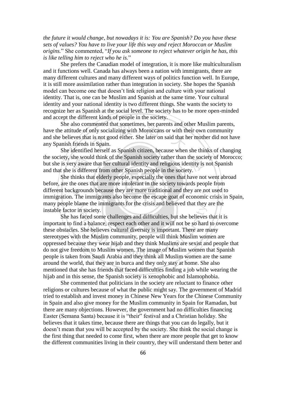*the future it would change, but nowadays it is: You are Spanish? Do you have these sets of values? You have to live your life this way and reject Moroccan or Muslim origins.*" She commented, "*If you ask someone to reject whatever origin he has, this is like telling him to reject who he is.*"

She prefers the Canadian model of integration, it is more like multiculturalism and it functions well. Canada has always been a nation with immigrants, there are many different cultures and many different ways of politics function well. In Europe, it is still more assimilation rather than integration in society. She hopes the Spanish model can become one that doesn't link religion and culture with your national identity. That is, one can be Muslim and Spanish at the same time. Your cultural identity and your national identity is two different things. She wants the society to recognize her as Spanish at the social level. The society has to be more open-minded and accept the different kinds of people in the society.

She also commented that sometimes, her parents and other Muslim parents, have the attitude of only socializing with Moroccans or with their own community and she believes that is not good either. She later on said that her mother did not have any Spanish friends in Spain.

She identified herself as Spanish citizen, because when she thinks of changing the society, she would think of the Spanish society rather than the society of Morocco; but she is very aware that her cultural identity and religious identity is not Spanish and that she is different from other Spanish people in the society.

She thinks that elderly people, especially the ones that have not went abroad before, are the ones that are more intolerant in the society towards people from different backgrounds because they are more traditional and they are not used to immigration. The immigrants also become the escape goat of economic crisis in Spain, many people blame the immigrants for the crisis and believed that they are the instable factor in society.

She has faced some challenges and difficulties, but she believes that it is important to find a balance, respect each other and it will not be so hard to overcome these obstacles. She believes cultural diversity is important. There are many stereotypes with the Muslim community, people will think Muslim women are oppressed because they wear hijab and they think Muslims are sexist and people that do not give freedom to Muslim women. The image of Muslim women that Spanish people is taken from Saudi Arabia and they think all Muslim women are the same around the world, that they are in burca and they only stay at home. She also mentioned that she has friends that faced difficulties finding a job while wearing the hijab and in this sense, the Spanish society is xenophobic and Islamophobia.

She commented that politicians in the society are reluctant to finance other religions or cultures because of what the public might say. The government of Madrid tried to establish and invest money in Chinese New Years for the Chinese Community in Spain and also give money for the Muslim community in Spain for Ramadan, but there are many objections. However, the government had no difficulties financing Easter (Semana Santa) because it is "their" festival and a Christian holiday. She believes that it takes time, because there are things that you can do legally, but it doesn't mean that you will be accepted by the society. She think the social change is the first thing that needed to come first, when there are more people that get to know the different communities living in their country, they will understand them better and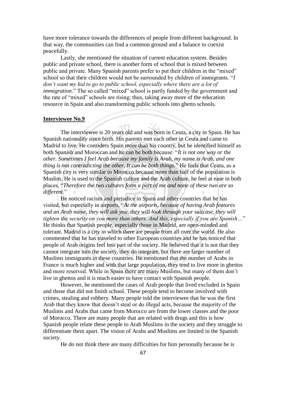have more tolerance towards the differences of people from different background. In that way, the communities can find a common ground and a balance to coexist peacefully.

Lastly, she mentioned the situation of current education system. Besides public and private school, there is another form of school that is mixed between public and private. Many Spanish parents prefer to put their children in the "mixed" school so that their children would not be surrounded by children of immigrants. "*I don't want my kid to go to public school, especially where there are a lot of immigration*." The so called "mixed" school is partly funded by the government and the rate of "mixed" schools are rising; thus, taking away more of the education resource in Spain and also transforming public schools into ghetto schools.

#### **Interviewee No.9**

The interviewee is 20 years old and was born in Ceuta, a city in Spain. He has Spanish nationality since birth. His parents met each other in Ceuta and came to Madrid to live. He considers Spain more than his country, but he identified himself as both Spanish and Moroccan and he can be both because: "*It is not one way or the other. Sometimes I feel Arab because my family is Arab, my name is Arab, and one thing is not contradicting the other. It can be both things.*" He feels that Ceuta, as a Spanish city is very similar to Morocco because more than half of the population is Muslim. He is used to the Spanish culture and the Arab culture, he feel at ease in both places, "*Therefore the two cultures form a part of me and none of these two are so different.*"

He noticed racism and prejudice in Spain and other countries that he has visited, but especially in airports, "*At the airports, because of having Arab features and an Arab name, they will ask you, they will look through your suitcase, they will tighten the security on you more than others. And this, especially if you are Spanish…*" He thinks that Spanish people, especially those in Madrid, are open-minded and tolerant. Madrid is a city in which there are people from all over the world. He also commented that he has traveled to other European countries and he has noticed that people of Arab origins feel less part of the society. He believed that it is not that they cannot integrate into the society, they do integrate, but there are larger number of Muslims immigrants in these countries. He mentioned that the number of Arabs in France is much higher and with that large population, they tend to live more in ghettos and more reserved. While in Spain there are many Muslims, but many of them don't live in ghettos and it is much easier to have contact with Spanish people.

However, he mentioned the cases of Arab people that lived excluded in Spain and those that did not finish school. These people tend to become involved with crimes, stealing and robbery. Many people told the interviewee that he was the first Arab that they know that doesn't steal or do illegal acts, because the majority of the Muslims and Arabs that came from Morocco are from the lower classes and the poor of Morocco. There are many people that are related with drugs and this is how Spanish people relate these people to Arab Muslims in the society and they struggle to differentiate them apart. The vision of Arabs and Muslims are limited in the Spanish society.

He do not think there are many difficulties for him personally because he is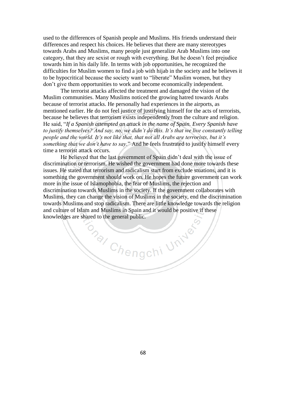used to the differences of Spanish people and Muslims. His friends understand their differences and respect his choices. He believes that there are many stereotypes towards Arabs and Muslims, many people just generalize Arab Muslims into one category, that they are sexist or rough with everything. But he doesn't feel prejudice towards him in his daily life. In terms with job opportunities, he recognized the difficulties for Muslim women to find a job with hijab in the society and he believes it to be hypocritical because the society want to "liberate" Muslim women, but they don't give them opportunities to work and become economically independent.

The terrorist attacks affected the treatment and damaged the vision of the Muslim communities. Many Muslims noticed the growing hatred towards Arabs because of terrorist attacks. He personally had experiences in the airports, as mentioned earlier. He do not feel justice of justifying himself for the acts of terrorists, because he believes that terrorism exists independently from the culture and religion. He said, "*If a Spanish attempted an attack in the name of Spain. Every Spanish have to justify themselves? And say, no, we didn't do this. It's that we live constantly telling people and the world. It's not like that, that not all Arabs are terrorists, but it's something that we don't have to say.*" And he feels frustrated to justify himself every time a terrorist attack occurs.

He believed that the last government of Spain didn't deal with the issue of discrimination or terrorism. He wished the government had done more towards these issues. He stated that terrorism and radicalism start from exclude stuations, and it is something the government should work on. He hopes the future government can work more in the issue of Islamophobia, the fear of Muslims, the rejection and discrimination towards Muslims in the society. If the government collaborates with Muslims, they can change the vision of Muslims in the society, end the discrimination towards Muslims and stop radicalism. There are little knowledge towards the religion and culture of Islam and Muslims in Spain and it would be positive if these knowledges are shared to the general public.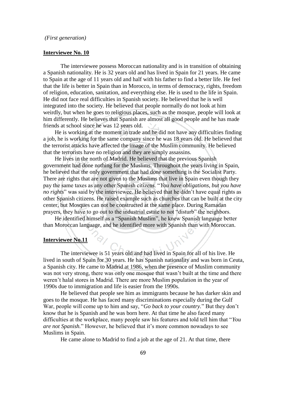#### *(First generation)*

## **Interviewee No. 10**

The interviewee possess Moroccan nationality and is in transition of obtaining a Spanish nationality. He is 32 years old and has lived in Spain for 21 years. He came to Spain at the age of 11 years old and half with his father to find a better life. He feel that the life is better in Spain than in Morocco, in terms of democracy, rights, freedom of religion, education, sanitation, and everything else. He is used to the life in Spain. He did not face real difficulties in Spanish society. He believed that he is well integrated into the society. He believed that people normally do not look at him weirdly, but when he goes to religious places, such as the mosque, people will look at him differently. He believes that Spanish are almost all good people and he has made friends at school since he was 12 years old.

He is working at the moment in trade and he did not have any difficulties finding a job, he is working for the same company since he was 18 years old. He believed that the terrorist attacks have affected the image of the Muslim community. He believed that the terrorists have no religion and they are simply assassins.

He lives in the north of Madrid. He believed that the previous Spanish government had done nothing for the Muslims. Throughout the years living in Spain, he believed that the only government that had done something is the Socialist Party. There are rights that are not given to the Muslims that live in Spain even though they pay the same taxes as any other Spanish citizens. "*You have obligations, but you have no rights*" was said by the interviewee. He believed that he didn't have equal rights as other Spanish citizens. He raised example such as churches that can be built at the city center, but Mosques can not be constructed at the same place. During Ramadan prayers, they have to go out to the industrial estate to not "disturb" the neighbors.

He identified himself as a "Spanish Muslim", he knew Spanish language better than Moroccan language, and he identified more with Spanish than with Moroccan.

#### **Interviewee No.11**

The interviewee is 51 years old and had lived in Spain for all of his live. He lived in south of Spain for 30 years. He has Spanish nationality and was born in Ceuta, a Spanish city. He came to Madrid at 1986, when the presence of Muslim community was not very strong, there was only one mosque that wasn't built at the time and there weren't halal stores in Madrid. There are more Muslim population in the year of 1990s due to immigration and life is easier from the 1990s.

He believed that people see him as immigrants because he has darker skin and goes to the mosque. He has faced many discriminations especially during the Gulf War, people will come up to him and say, "*Go back to your country.*" But they don't know that he is Spanish and he was born here. At that time he also faced many difficulties at the workplace, many people saw his features and told tell him that "*You are not Spanish.*" However, he believed that it's more common nowadays to see Muslims in Spain.

He came alone to Madrid to find a job at the age of 21. At that time, there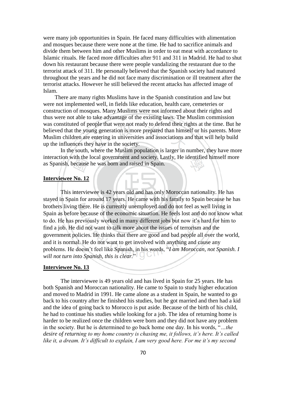were many job opportunities in Spain. He faced many difficulties with alimentation and mosques because there were none at the time. He had to sacrifice animals and divide them between him and other Muslims in order to eat meat with accordance to Islamic rituals. He faced more difficulties after 911 and 311 in Madrid. He had to shut down his restaurant because there were people vandalizing the restaurant due to the terrorist attack of 311. He personally believed that the Spanish society had matured throughout the years and he did not face many discrimination or ill treatment after the terrorist attacks. However he still believed the recent attacks has affected image of Islam.

There are many rights Muslims have in the Spanish constitution and law but were not implemented well, in fields like education, health care, cemeteries or construction of mosques. Many Muslims were not informed about their rights and thus were not able to take advantage of the existing laws. The Muslim commission was constituted of people that were not ready to defend their rights at the time. But he believed that the young generation is more prepared than himself or his parents. More Muslim children are entering in universities and associations and that will help build up the influences they have in the society.

In the south, where the Muslim population is larger in number, they have more interaction with the local government and society. Lastly, He identified himself more as Spanish, because he was born and raised in Spain.

## **Interviewee No. 12**

This interviewee is 42 years old and has only Moroccan nationality. He has stayed in Spain for around 17 years. He came with his family to Spain because he has brothers living there. He is currently unemployed and do not feel as well living in Spain as before because of the economic situation. He feels lost and do not know what to do. He has previously worked in many different jobs but now it's hard for him to find a job. He did not want to talk more about the issues of terrorism and the government policies. He thinks that there are good and bad people all over the world, and it is normal. He do not want to get involved with anything and cause any problems. He doesn't feel like Spanish, in his words, "*I am Moroccan, not Spanish. I will not turn into Spanish, this is clear.*"

## **Interviewee No. 13**

The interviewee is 49 years old and has lived in Spain for 25 years. He has both Spanish and Moroccan nationality. He came to Spain to study higher education and moved to Madrid in 1991. He came alone as a student in Spain, he wanted to go back to his country after he finished his studies, but he got married and then had a kid and the idea of going back to Morocco is put aside. Because of the birth of his child, he had to continue his studies while looking for a job. The idea of returning home is harder to be realized once the children were born and they did not have any problem in the society. But he is determined to go back home one day. In his words, "*…the desire of returning to my home country is chasing me, it follows, it's here. It's called like it, a dream. It's difficult to explain, I am very good here. For me it's my second*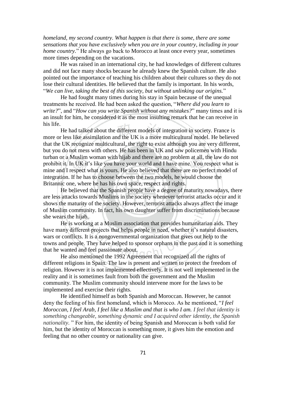*homeland, my second country. What happen is that there is some, there are some sensations that you have exclusively when you are in your country, including in your home country.*" He always go back to Morocco at least once every year, sometimes more times depending on the vacations.

He was raised in an international city, he had knowledges of different cultures and did not face many shocks because he already knew the Spanish culture. He also pointed out the importance of teaching his children about their cultures so they do not lose their cultural identities. He believed that the family is important. In his words, "*We can live, taking the best of this society, but without unlinking our origins.*"

He had fought many times during his stay in Spain because of the unequal treatments he received. He had been asked the question, "*Where did you learn to write?*", and "*How can you write Spanish without any mistakes?*" many times and it is an insult for him, he considered it as the most insulting remark that he can receive in his life.

He had talked about the different models of integration in society. France is more or less like assimilation and the UK is a more multicultural model. He believed that the UK recognize multicultural, the right to exist although you are very different, but you do not mess with others. He has been in UK and saw policemen with Hindu turban or a Muslim woman with hijab and there are no problem at all, the law do not prohibit it. In UK it's like you have your world and I have mine. You respect what is mine and I respect what is yours. He also believed that there are no perfect model of integration. If he has to choose between the two models, he would choose the Britannic one, where he has his own space, respect and rights.

He believed that the Spanish people have a degree of maturity nowadays, there are less attacks towards Muslims in the society whenever terrorist attacks occur and it shows the maturity of the society. However, terrorist attacks always affect the image of Muslim community. In fact, his own daughter suffer from discriminations because she wears the hijab.

He is working at a Muslim association that provides humanitarian aids. They have many different projects that helps people in need, whether it's natural disasters, wars or conflicts. It is a nongovernmental organization that gives out help to the towns and people. They have helped to sponsor orphans in the past and it is something that he wanted and feel passionate about.

He also mentioned the 1992 Agreement that recognized all the rights of different religions in Spain. The law is present and written to protect the freedom of religion. However it is not implemented effectively. It is not well implemented in the reality and it is sometimes fault from both the government and the Muslim community. The Muslim community should intervene more for the laws to be implemented and exercise their rights.

He identified himself as both Spanish and Moroccan. However, he cannot deny the feeling of his first homeland, which is Morocco. As he mentioned, "*I feel Moroccan, I feel Arab, I feel like a Muslim and that is who I am. I feel that identity is something changeable, something dynamic and I acquired other identity, the Spanish nationality.* " For him, the identity of being Spanish and Moroccan is both valid for him, but the identity of Moroccan is something more, it gives him the emotion and feeling that no other country or nationality can give.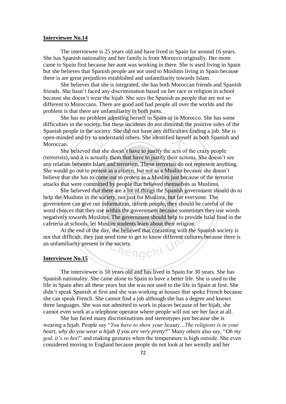## **Interviewee No.14**

The interviewee is 25 years old and have lived in Spain for around 16 years. She has Spanish nationality and her family is from Morocco originally. Her mom came to Spain first because her aunt was working in there. She is used living in Spain but she believes that Spanish people are not used to Muslims living in Spain because there is are great prejudices established and unfamiliarity towards Islam.

She believes that she is integrated, she has both Moroccan friends and Spanish friends. She hasn't faced any discrimination based on her race or religion in school because she doesn't wear the hijab. She sees the Spanish as people that are not so different to Moroccans. There are good and bad people all over the worlds and the problem is that there are unfamiliarity in both parts.

She has no problem adjusting herself in Spain or in Morocco. She has some difficulties in the society, but these incidents do not diminish the positive sides of the Spanish people in the society. She did not have any difficulties finding a job. She is open-minded and try to understand others. She identified herself as both Spanish and Moroccan.

She believed that she doesn't have to justify the acts of the crazy people (terrorists), and it is actually them that have to justify their actions. She doesn't see any relation between Islam and terrorism. These terrorists do not represent anything. She would go out to protest as a citizen, but not as a Muslim because she doesn't believe that she has to come out to protest as a Muslim just because of the terrorist attacks that were committed by people that believed themselves as Muslims.

She believed that there are a lot of things the Spanish government should do to help the Muslims in the society, not just for Muslims, but for everyone. The government can give out information, inform people, they should be careful of the word choices that they use within the government because sometimes they use words negatively towards Muslims. The government should help to provide halal food in the cafeteria at schools, let Muslim students learn about their religion.

At the end of the day, she believed that coexisting with the Spanish society is not that difficult, they just need time to get to know different cultures because there is an unfamiliarity present in the society.

hengchi<sup>.</sup>

#### **Interviewee No.15**

The interviewee is 50 years old and has lived in Spain for 30 years. She has Spanish nationality. She came alone to Spain to have a better life. She is used to the life in Spain after all these years but she was not used to the life in Spain at first. She didn't speak Spanish at first and she was working at houses that spoke French because she can speak French. She cannot find a job although she has a degree and knows three languages. She was not admitted to work in places because of her hijab, she cannot even work at a telephone operator where people will not see her face at all.

She has faced many discriminations and stereotypes just because she is wearing a hijab. People say "*You have to show your beauty…The religions is in your heart, why do you wear a hijab if you are very pretty*?" Many others also say, "*Oh my god, it's so hot!*" and making gestures when the temperature is high outside. She even considered moving to England because people do not look at her weirdly and her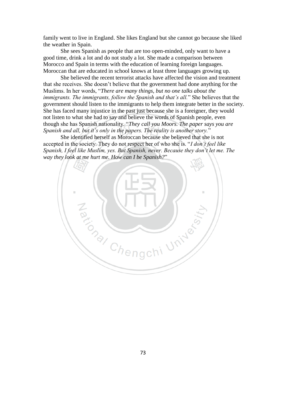family went to live in England. She likes England but she cannot go because she liked the weather in Spain.

She sees Spanish as people that are too open-minded, only want to have a good time, drink a lot and do not study a lot. She made a comparison between Morocco and Spain in terms with the education of learning foreign languages. Moroccan that are educated in school knows at least three languages growing up.

She believed the recent terrorist attacks have affected the vision and treatment that she receives. She doesn't believe that the government had done anything for the Muslims. In her words, "*There are many things, but no one talks about the immigrants. The immigrants, follow the Spanish and that's all.*" She believes that the government should listen to the immigrants to help them integrate better in the society. She has faced many injustice in the past just because she is a foreigner, they would not listen to what she had to say and believe the words of Spanish people, even though she has Spanish nationality. "*They call you Moors. The paper says you are Spanish and all, but it's only in the papers. The reality is another story.*"

She identified herself as Moroccan because she believed that she is not accepted in the society. They do not respect her of who she is. "*I don't feel like Spanish, I feel like Muslim, yes. But Spanish, never. Because they don't let me. The way they look at me hurt me. How can I be Spanish?*"

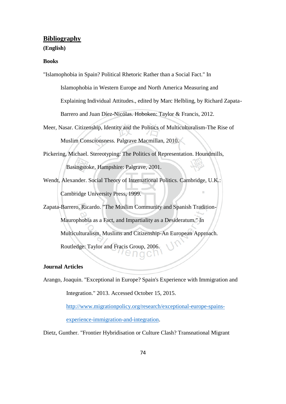# **Bibliography**

### **(English)**

# **Books**

"Islamophobia in Spain? Political Rhetoric Rather than a Social Fact." In

Islamophobia in Western Europe and North America Measuring and

Explaining Individual Attitudes., edited by Marc Helbling, by Richard Zapata-

Barrero and Juan Díez-Nicólas. Hoboken: Taylor & Francis, 2012.

Meer, Nasar. Citizenship, Identity and the Politics of Multiculturalism-The Rise of Muslim Consciousness. Palgrave Macmillan, 2010.

Pickering, Michael. Stereotyping: The Politics of Representation. Houndmills, Basingstoke, Hampshire: Palgrave, 2001.

Wendt, Alexander. Social Theory of International Politics. Cambridge, U.K.: Cambridge University Press, 1999.

Zapata-Barrero, Ricardo. "The Muslim Community and Spanish Tradition-Maurophobia as a Fact, and Impartiality as a Desideratum." In Multiculturalism, Muslims and Citizenship-An European Approach. Routledge: Taylor and Fracis Group, 2006.

# **Journal Articles**

Arango, Joaquin. "Exceptional in Europe? Spain's Experience with Immigration and Integration." 2013. Accessed October 15, 2015.

> [http://www.migrationpolicy.org/research/exceptional-europe-spains](http://www.migrationpolicy.org/research/exceptional-europe-spains-experience-immigration-and-integration)[experience-immigration-and-integration.](http://www.migrationpolicy.org/research/exceptional-europe-spains-experience-immigration-and-integration)

Dietz, Gunther. "Frontier Hybridisation or Culture Clash? Transnational Migrant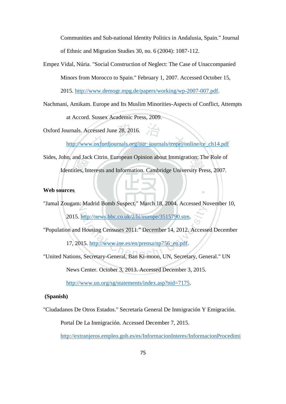Communities and Sub-national Identity Politics in Andalusia, Spain." Journal of Ethnic and Migration Studies 30, no. 6 (2004): 1087-112.

Empez Vidal, Núria. "Social Construction of Neglect: The Case of Unaccompanied Minors from Morocco to Spain." February 1, 2007. Accessed October 15,

2015. [http://www.demogr.mpg.de/papers/working/wp-2007-007.pdf.](http://www.demogr.mpg.de/papers/working/wp-2007-007.pdf)

Nachmani, Amikam. Europe and Its Muslim Minorities-Aspects of Conflict, Attempts at Accord. Sussex Academic Press, 2009.

Oxford Journals. Accessed June 28, 2016.

[http://www.oxfordjournals.org/our\\_journals/tropej/online/ce\\_ch14.pdf](http://www.oxfordjournals.org/our_journals/tropej/online/ce_ch14.pdf)

Sides, John, and Jack Citrin. European Opinion about Immigration: The Role of Identities, Interests and Information. Cambridge University Press, 2007.

# **Web sources**

"Jamal Zougam: Madrid Bomb Suspect." March 18, 2004. Accessed November 10,

2015. [http://news.bbc.co.uk/2/hi/europe/3515790.stm.](http://news.bbc.co.uk/2/hi/europe/3515790.stm)

"Population and Housing Censuses 2011." December 14, 2012. Accessed December

17, 2015. [http://www.ine.es/en/prensa/np756\\_en.pdf.](http://www.ine.es/en/prensa/np756_en.pdf)

"United Nations, Secretary-General, Ban Ki-moon, UN, Secretary, General." UN

News Center. October 3, 2013. Accessed December 3, 2015.

[http://www.un.org/sg/statements/index.asp?nid=7175.](http://www.un.org/sg/statements/index.asp?nid=7175)

# **(Spanish)**

"Ciudadanos De Otros Estados." Secretaría General De Inmigración Y Emigración.

Portal De La Inmigración. Accessed December 7, 2015.

[http://extranjeros.empleo.gob.es/es/InformacionInteres/InformacionProcedimi](http://extranjeros.empleo.gob.es/es/InformacionInteres/InformacionProcedimientos/Ciudadanosnocomunitarios/)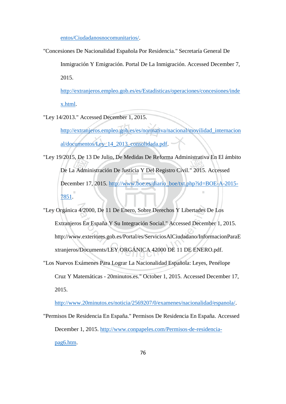[entos/Ciudadanosnocomunitarios/.](http://extranjeros.empleo.gob.es/es/InformacionInteres/InformacionProcedimientos/Ciudadanosnocomunitarios/)

"Concesiones De Nacionalidad Española Por Residencia." Secretaría General De

Inmigración Y Emigración. Portal De La Inmigración. Accessed December 7, 2015.

[http://extranjeros.empleo.gob.es/es/Estadisticas/operaciones/concesiones/inde](http://extranjeros.empleo.gob.es/es/Estadisticas/operaciones/concesiones/index.html) [x.html.](http://extranjeros.empleo.gob.es/es/Estadisticas/operaciones/concesiones/index.html)

"Ley 14/2013." Accessed December 1, 2015.

[http://extranjeros.empleo.gob.es/es/normativa/nacional/movilidad\\_internacion](http://extranjeros.empleo.gob.es/es/normativa/nacional/movilidad_internacional/documentos/Ley_14_2013_consolidada.pdf) [al/documentos/Ley\\_14\\_2013\\_consolidada.pdf.](http://extranjeros.empleo.gob.es/es/normativa/nacional/movilidad_internacional/documentos/Ley_14_2013_consolidada.pdf)

"Ley 19/2015, De 13 De Julio, De Medidas De Reforma Administrativa En El ámbito De La Administración De Justicia Y Del Registro Civil." 2015. Accessed December 17, 2015. [http://www.boe.es/diario\\_boe/txt.php?id=BOE-A-2015-](http://www.boe.es/diario_boe/txt.php?id=BOE-A-2015-7851) [7851.](http://www.boe.es/diario_boe/txt.php?id=BOE-A-2015-7851)

"Ley Orgánica 4/2000, De 11 De Enero, Sobre Derechos Y Libertades De Los Extranjeros En España Y Su Integración Social." Accessed December 1, 2015. http://www.exteriores.gob.es/Portal/es/ServiciosAlCiudadano/InformacionParaE xtranjeros/Documents/LEY ORGÁNICA 42000 DE 11 DE ENERO.pdf.

"Los Nuevos Exámenes Para Lograr La Nacionalidad Española: Leyes, Penélope Cruz Y Matemáticas - 20minutos.es." October 1, 2015. Accessed December 17, 2015.

[http://www.20minutos.es/noticia/2569207/0/examenes/nacionalidad/espanola/.](http://www.20minutos.es/noticia/2569207/0/examenes/nacionalidad/espanola/)

"Permisos De Residencia En España." Permisos De Residencia En España. Accessed December 1, 2015. [http://www.conpapeles.com/Permisos-de-residencia](http://www.conpapeles.com/Permisos-de-residencia-pag6.htm)[pag6.htm.](http://www.conpapeles.com/Permisos-de-residencia-pag6.htm)